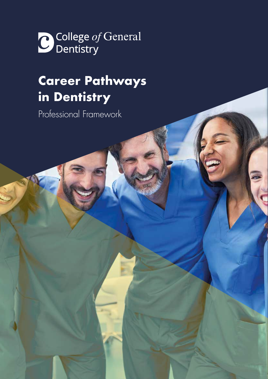College of General

# **Career Pathways in Dentistry**

**PROFESSIONAL FRAMEWORK 1**

Professional Framework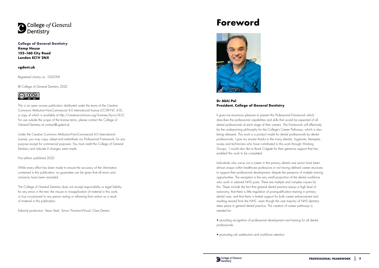# **Foreword**



## **Dr Abhi Pal President, College of General Dentistry**

It gives me enormous pleasure to present this Professional Framework which describes the professional capabilities and skills that would be expected of all dental professionals at each stage of their careers. The Framework will effectively be the underpinning philosophy for the College's Career Pathways, which is also being released. This work is a product made for dental professionals by dental professionals. I give my sincere thanks to the many dentists, hygienists, therapists, nurses and technicians who have contributed to this work through Working Groups. I would also like to thank Colgate for their generous support that has enabled this work to be completed.

Individuals who carve out a career in the primary dental care sector have been almost unique within healthcare professions in not having defined career structures to support their professional development, despite the presence of multiple training opportunities. The exception is the very small proportion of the dental workforce who work in salaried NHS posts. There are multiple and complex causes for this. These include the fact that general dental practice enjoys a high level of autonomy, that there is little regulation of post-qualification training in primary dental care, and that there is limited support for both career enhancement and resulting reward from the NHS - even though the vast majority of NHS dentistry takes place in general dental practice. The creation of career pathways is needed for:

• providing recognition of professional development and training for all dental professionals

• promoting job satisfaction and workforce retention





**[College of General Dentistry](https://cgdent.uk/) Kemp House 152–160 City Road London EC1V 2NX**

## **[cgdent.uk](https://cgdent.uk )**

Registered charity no. 1002769

© College of General Dentistry 2022



This is an open access publication distributed under the terms of the Creative Commons Attribution-NonCommercial 4.0 International license (CC-BY-NC 4.0), a copy of which is available at http://creativecommons.org/licenses/by-nc/4.0/. For use outside the scope of the license terms, please contact the College of General Dentistry at contact@cgdent.uk

Under the Creative Commons Attribution-NonCommercial 4.0 International License, you may copy, adapt and redistribute our Professional Framework, for any purpose except for commercial purposes. You must credit the College of General Dentistry and indicate if changes were made.

First edition published 2022

While every effort has been made to ensure the accuracy of the information contained in this publication, no guarantee can be given that all errors and omissions have been excluded.

The College of General Dentistry does not accept responsibility or legal liability for any errors in the text, the misuse or misapplication of material in this work, or loss occasioned to any person acting or refraining from action as a result of material in this publication

Editorial production: Steve Stark, Simon Thornton-Wood, Clare Denton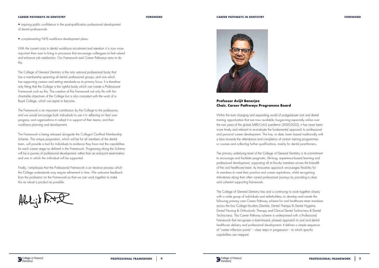• inspiring public confidence in the post-qualification professional development of dental professionals

• complementing NHS workforce development plans.

With the current crisis in dental workforce recruitment and retention it is now more important than ever to bring in processes that encourage colleagues to feel valued and enhance job satisfaction. Our Framework and Career Pathways aims to do this.

The College of General Dentistry is the only national professional body that has a membership spanning all dental professional groups, and one which has supporting careers and setting standards as its primary focus. It is therefore only fitting that the College is the rightful body which can create a Professional Framework such as this. The creation of this Framework not only fits with the charitable objectives of the College but is also consistent with the work of a Royal College, which we aspire to become.

The Framework is an important contribution by the College to the professions, and we would encourage both individuals to use it in reflecting on their own progress, and organisations to adopt it in support of their teams, and their workforce planning and development.

The Framework is being released alongside the College's Certified Membership Scheme. This unique proposition, which will be for all members of the dental team, will provide a tool for individuals to evidence they have met the capabilities for each career stage as defined in the Framework. Progressing along the Scheme will be a journey of professional development, rather than an end-point examination, and one in which the individual will be supported.

Finally, I emphasise that the Professional Framework is an iterative process which the College understands may require refinement in time. We welcome feedback from the profession on the Framework so that we can work together to make this as robust a product as possible.





### **CAREER PATHWAYS IN DENTISTRY FOREWORD**

## **Professor Avijit Banerjee Chair, Career Pathways Programme Board**

Within the ever changing and expanding world of postgraduate oral and dental training opportunities that are now available, burgeoning especially online over the two years of the global SARS-CoV-2 pandemic (2020-2022), it has never been more timely and relevant to re-evaluate the fundamental approach to professional and personal career development. This has, to date, been based traditionally with a bias towards the attendance and completion of certain training programmes or courses and collecting further qualifications, mainly for dental practitioners.

The primary underlying tenet of the College of General Dentistry is its commitment to encourage and facilitate pragmatic, life-long, experience-based learning and professional development, supporting all its faculty members across the breadth of the oral healthcare team. Its innovative approach encourages flexibility for its members to meet their practice and career aspirations, whilst recognising mile-stones along their often varied professional journeys by providing a clear and coherent supporting framework.

The College of General Dentistry has and is continuing to work together closely with a wide group of individuals and stakeholders, to develop and create the following primary care Career Pathway scheme for oral healthcare team members across the four College faculties (Dentists, Dental Therapy & Dental Hygiene, Dental Nursing & Orthodontic Therapy and Clinical Dental Technicians & Dental Technicians). This Career Pathway scheme is underpinned with a Professional Framework that recognises a team-based, phased approach to oral and dental healthcare delivery and professional development. It defines a simple sequence of "career inflection points" – clear steps in progression – to which specific capabilities are mapped.







### **CAREER PATHWAYS IN DENTISTRY FOREWORD**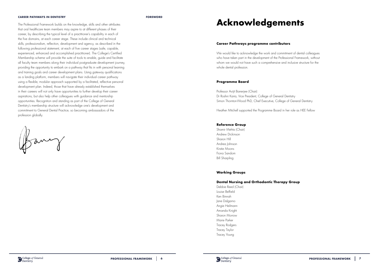### **CAREER PATHWAYS IN DENTISTRY FOREWORD**

The Professional Framework builds on the knowledge, skills and other attributes that oral healthcare team members may aspire to at different phases of their career, by describing the typical level of a practitioner's capability in each of the five domains, at each career stage. These include clinical and technical skills, professionalism, reflection, development and agency, as described in the following professional statement, at each of five career stages (safe, capable, experienced, enhanced and accomplished practitioner). The College's Certified Membership scheme will provide the suite of tools to enable, guide and facilitate all faculty team members along their individual postgraduate development journey, providing the opportunity to embark on a pathway that fits in with personal learning and training goals and career development plans. Using gateway qualifications as a landing platform, members will navigate their individual career pathway using a flexible, modular approach supported by a facilitated, reflective personal development plan. Indeed, those that have already established themselves in their careers will not only have opportunities to further develop their career aspirations, but also help other colleagues with guidance and mentorship opportunities. Recognition and standing as part of the College of General Dentistry's membership structure will acknowledge one's development and commitment to General Dental Practice, so becoming ambassadors of the profession globally.

famig

# **Acknowledgements**

### **Career Pathways programme contributors**

We would like to acknowledge the work and commitment of dental colleagues who have taken part in the development of the Professional Framework, without whom we would not have such a comprehensive and inclusive structure for the whole dental profession.

### **Programme Board**

## Professor Avijit Banerjee (Chair) Dr Roshni Karia, Vice President, College of General Dentistry Simon Thornton-Wood PhD, Chief Executive, College of General Dentistry

Heather Mitchell supported the Programme Board in her role as HEE Fellow

### **Reference Group**

Shamir Mehta (Chair) Andrew Dickinson Sharon Hill Andrea Johnson Kirstie Moons Fiona Sandom Bill Sharpling

### **Working Groups**

### **Dental Nursing and Orthodontic Therapy Group**

Debbie Reed (Chair) Louise Belfield Ken Binnah Jane Dalgarno Angie Heilmann Amanda Knight Sharon Morrow Marie Parker Tracey Rodgers Tracey Taylor Tracey Young

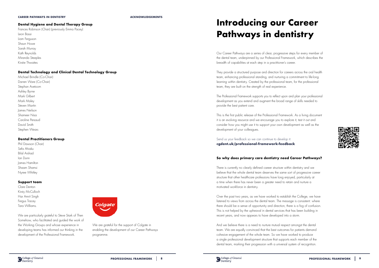### **CAREER PATHWAYS IN DENTISTRY ACKNOWLEDGEMENTS**

## **Dental Hygiene and Dental Therapy Group**

Frances Robinson (Chair) (previously Emma Pacey) Leon Bassi Liam Ferguson Shaun Howe Sarah Murray Kath Reynolds Miranda Steeples Kirstie Thwaites

## **Dental Technology and Clinical Dental Technology Group**

Michael Brindle (Co-Chair) Darren Ware (Co-Chair) Stephan Avetoom Ashley Byrne Mark Gilbert Mark Maley Steven Martin James Neilson Shameer Nisa Caroline Persaud David Smith Stephen Wears

## **Dental Practitioners Group**

Phil Dawson (Chair) Sefa Ahiaku Bilal Arshad Ian Dunn James Hamilton Shaam Shamsi Nyree Whitley

## **Support team**

Clare Denton Kirsty McCulloch Har Amrit Singh Fergus Tracey Tara Williams.



We are particularly grateful to Steve Stark of Then Somehow, who facilitated and guided the work of the Working Groups and whose experience in developing teams has informed our thinking in the development of the Professional Framework.

We are grateful for the support of Colgate in enabling the development of our Career Pathways programme.

Our Career Pathways are a series of clear, progressive steps for every member of the dental team, underpinned by our Professional Framework, which describes the breadth of capabilities at each step in a practitioner's career.

They provide a structured purpose and direction for careers across the oral health team, enhancing professional standing, and nurturing a commitment to life-long learning within dentistry. Created by the professional team, for the professional team, they are built on the strength of real experience.

The Professional Framework supports you to reflect upon and plan your professional development as you extend and augment the broad range of skills needed to provide the best patient care.

This is the first public release of the Professional Framework. As a living document it is an evolving resource and we encourage you to explore it, test it out and consider how you might use it to support your own development as well as the development of your colleagues.

Send us your feedback so we can continue to develop it: **[cgdent.uk/professional-framework-feedback](http://cgdent.uk/professional-framework-feedback )**

## **So why does primary care dentistry need Career Pathways?**

There is currently no clearly defined career structure within dentistry and we believe that the whole dental team deserves the same sort of progressive career structure that other healthcare professions have long enjoyed, particularly at a time when there has never been a greater need to retain and nurture a motivated workforce in dentistry.

Over the past two years, as we have worked to establish the College, we have listened to views from across the dental team. The message is consistent: where there should be a sense of opportunity and direction, there is a fog of confusion. This is not helped by the upheaval in dental services that has been building in recent years, and now appears to have developed into a storm.

And we believe there is a need to nurture mutual respect amongst the dental team. We are equally convinced that the best outcomes for patients demand cohesive engagement of the whole team. So we have worked to produce a single professional development structure that supports each member of the dental team, marking their progression with a universal system of recognition.







# **Introducing our Career Pathways in dentistry**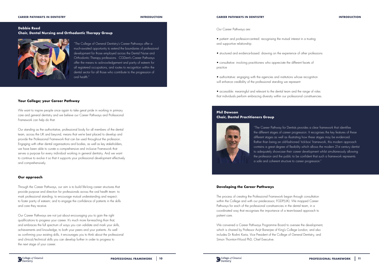

**Debbie Reed Chair, Dental Nursing and Orthodontic Therapy Group**



"The College of General Dentistry's Career Pathways offer a much-awaited opportunity to extend the boundaries of professional development for those employed across the Dental Nurse and Orthodontic Therapy professions. CGDent's Career Pathways offer the means to acknowledgement and parity of esteem for all registered occupations, and routes to recognition within the dental sector for all those who contribute to the progression of oral health."

## **Your College; your Career Pathway**

We want to inspire people once again to take great pride in working in primary care and general dentistry and we believe our Career Pathways and Professional Framework can help do that.

Our standing as the authoritative, professional body for all members of the dental team, across the UK and beyond, means that we're best placed to develop and provide the Professional Framework that can be used throughout the profession. Engaging with other dental organisations and bodies, as well as key stakeholders, we have been able to curate a comprehensive and inclusive Framework that serves a purpose for every individual working in general dentistry. And we want to continue to evolve it so that it supports your professional development effectively and comprehensively.

## **Our approach**

Through the Career Pathways, our aim is to build life-long career structures that provide purpose and direction for professionals across the oral health team: to mark professional standing; to encourage mutual understanding and respect; to foster parity of esteem; and to engage the confidence of patients in the skills and care they receive.

Our Career Pathways are not just about encouraging you to gain the right qualifications to progress your career. It's much more far-reaching than that, and embraces the full spectrum of ways you can validate and mark your skills, achievements and knowledge, to both your peers and your patients. As well as confirming your existing skills, it encourages you to think about the professional and clinical/technical skills you can develop further in order to progress to the next stage of your career.

Our Career Pathways are:

- patient- and profession-centred: recognising the mutual interest in a trusting and supportive relationship
- structured and evidence-based: drawing on the experience of other professions
- consultative: involving practitioners who appreciate the different facets of practice
- authoritative: engaging with the agencies and institutions whose recognition will enhance credibility of the professional standing we represent
- accessible: meaningful and relevant to the dental team and the range of roles that individuals perform embracing diversity within our professional constituencies.

### **CAREER PATHWAYS IN DENTISTRY INTRODUCTION**

## **Phil Dawson Chair, Dental Practitioners Group**



"The Career Pathway for Dentists provides a clear framework that identifies the different stages of career progression. It recognises the key features of these different stages as well as illustrating how these stages may be evidenced. Rather than being an old-fashioned 'tick-box' framework, this modern approach contains a great degree of flexibility which allows the modern 21st century dentist to adequately showcase their career development whilst simultaneously allowing the profession and the public to be confident that such a framework represents a safe and coherent structure to career progression."

## **Developing the Career Pathways**

The process of creating the Professional Framework began through consultation within the College and with our predecessor, FGDP(UK). We mapped Career Pathways for each of the professional constituencies in the dental team, in a coordinated way that recognises the importance of a team-based approach to patient care.

We convened a Career Pathways Programme Board to oversee the development, which is chaired by Professor Avijit Banerjee of King's College London, and also includes Dr Roshni Karia, Vice President of the College of General Dentistry, and Simon Thornton-Wood PhD, Chief Executive.

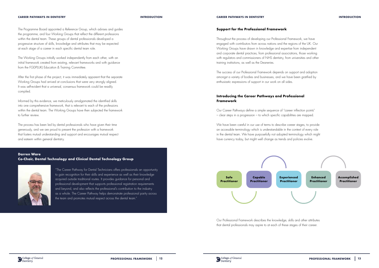### **CAREER PATHWAYS IN DENTISTRY INTRODUCTION**

## **Darren Ware Co-Chair, Dental Technology and Clinical Dental Technology Group**



"The Career Pathway for Dental Technicians offers professionals an opportunity to gain recognition for their skills and experience as well as their knowledge acquired outside traditional routes. It provides guidance for personal and professional development that supports professional registration requirements and beyond, and also reflects the professional's contribution to the industry as a whole. The Career Pathway helps demonstrate professional parity across the team and promotes mutual respect across the dental team."





The Programme Board appointed a Reference Group, which advises and guides the programme, and four Working Groups that reflect the different professions within the dental team. These groups of dental professionals developed a progressive structure of skills, knowledge and attributes that may be expected at each stage of a career in each specific dental team role.

The Working Groups initially worked independently from each other, with an initial framework created from existing, relevant frameworks and with guidance from the FGDP(UK) Education & Training Committee.

After the first phase of the project, it was immediately apparent that the separate Working Groups had arrived at conclusions that were very strongly aligned. It was self-evident that a universal, consensus framework could be readily compiled.

Informed by this evidence, we meticulously amalgamated the identified skills into one comprehensive framework, that is relevant to each of the professions within the dental team. The Working Groups have then subjected the framework to further review.

The process has been led by dental professionals who have given their time generously, and we are proud to present the profession with a framework that fosters mutual understanding and support and encourages mutual respect and esteem within general dentistry.

**Support for the Professional Framework**

Throughout the process of developing our Professional Framework, we have engaged with contributors from across nations and the regions of the UK. Our Working Groups have drawn in knowledge and expertise from independent and corporate dental practices, from professional associations, those working with regulators and commissioners of NHS dentistry, from universities and other training institutions, as well as the Deaneries.

The success of our Professional Framework depends on support and adoption amongst a variety of bodies and businesses, and we have been gratified by enthusiastic expressions of support in our work on all sides.

## **Introducing the Career Pathways and Professional Framework**

Our Career Pathways define a simple sequence of "career inflection points" – clear steps in a progression – to which specific capabilities are mapped.

We have been careful in our use of terms to describe career stages, to provide an accessible terminology which is understandable in the context of every role in the dental team. We have purposefully not adopted terminology which might have currency today, but might well change as trends and policies evolve.

### **CAREER PATHWAYS IN DENTISTRY INTRODUCTION**

Our Professional Framework describes the knowledge, skills and other attributes that dental professionals may aspire to at each of these stages of their career.

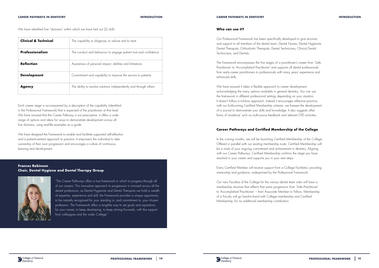Each career stage is accompanied by a description of the capability (identified in the Professional Framework) that is expected of the practitioner at that level. We have ensured that the Career Pathway is not prescriptive: it offers a wide range of options and ideas for ways to demonstrate development across all five domains, using real-life examples as a guide.

We have designed the Framework to enable and facilitate supported self-reflection and a patient-centred approach to practice. It empowers the individual to take ownership of their own progression and encourages a culture of continuous learning and development.

| <b>Clinical &amp; Technical</b> | The capability to diagnose, to advise and to treat                |
|---------------------------------|-------------------------------------------------------------------|
| Professionalism                 | The conduct and behaviour to engage patient trust and confidence  |
| <b>Reflection</b>               | Awareness of personal impact, abilities and limitations           |
| <b>Development</b>              | Commitment and capability to improve the service to patients      |
| Agency                          | The ability to resolve solutions independently and through others |

## **Frances Robinson Chair, Dental Hygiene and Dental Therapy Group**



"The Career Pathways offers a true framework in which to progress through all of our careers. This innovative approach to progression is mirrored across all the dental professions; as Dental Hygienists and Dental Therapists we hold a wealth of expertise, experience and skill, the Framework provides a unique opportunity to be instantly recognised for your standing in, and commitment to, your chosen profession. The Framework offers a tangible way to set goals and aspirations for your career, to keep developing, to keep striving forwards, with the support from colleagues and the wider College."

In the coming months, we will be launching Certified Membership of the College. Offered in parallel with our existing membership route, Certified Membership will be a mark of your ongoing commitment and achievement in dentistry. Aligning with our Career Pathways, Certified Membership confirms the stage you have reached in your career and supports you in your next steps.

Our Professional Framework has been specifically developed to give structure and support to all members of the dental team; Dental Nurses, Dental Hygienists, Dental Therapists, Orthodontic Therapists, Dental Technicians, Clinical Dental Technicians, and Dentists.

The Framework encompasses the five stages of a practitioner's career from 'Safe Practitioner' to 'Accomplished Practitioner' and supports all dental professionals from early-career practitioners to professionals with many years' experience and enhanced skills.

We have ensured it takes a flexible approach to career development, acknowledging the many options available in general dentistry. You can use the framework in different professional settings depending on your situation. It doesn't follow a tick-box approach, instead it encourages reflective practice; with our forthcoming Certified Membership scheme, we foresee the development of a journal to demonstrate your skills and knowledge. It also suggests other forms of 'evidence' such as multi-source feedback and relevant CPD activities.

## **Career Pathways and Certified Membership of the College**

Every Certified Member will receive support from a College Facilitator, providing mentorship and guidance, underpinned by the Professional Framework.

Our new Faculties of the College for the various dental team roles will have a membership structure that reflects that same progression from 'Safe Practitioner' to 'Accomplished Practitioner' – from Associate Member to Fellow. Membership of a Faculty will go hand-in-hand with College membership and Certified Membership, for no additional membership contribution.



### **CAREER PATHWAYS IN DENTISTRY INTRODUCTION**

We have identified five "domains" within which we have laid out 22 skills: **We have a state out a state of the can use it?**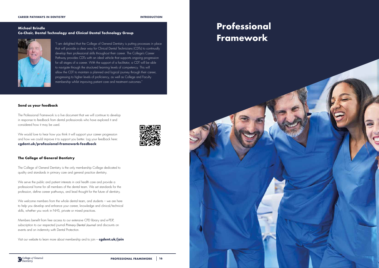### **CAREER PATHWAYS IN DENTISTRY INTRODUCTION**

**PROFESSIONAL FRAMEWORK | 16** 

## **Michael Brindle Co-Chair, Dental Technology and Clinical Dental Technology Group**



"I am delighted that the College of General Dentistry is putting processes in place that will provide a clear way for Clinical Dental Technicians (CDTs) to continually develop their professional skills throughout their career. The College's Career Pathway provides CDTs with an ideal vehicle that supports ongoing progression for all stages of a career. With the support of a facilitator, a CDT will be able to navigate through the structured learning levels of competency. This will allow the CDT to maintain a planned and logical journey through their career, progressing to higher levels of proficiency, as well as College and Faculty membership whilst improving patient care and treatment outcomes."

We serve the public and patient interests in oral health care and provide a professional home for all members of the dental team. We set standards for the profession, define career pathways, and lead thought for the future of dentistry.

## **Send us your feedback**

We welcome members from the whole dental team, and students – we are here to help you develop and enhance your career, knowledge and clinical/technical skills, whether you work in NHS, private or mixed practices.

The Professional Framework is a live document that we will continue to develop in response to feedback from dental professionals who have explored it and considered how it may be used.

We would love to hear how you think it will support your career progression and how we could improve it to support you better. Log your feedback here: **[cgdent.uk/professional-framework-feedback](http://cgdent.uk/professional-framework-feedback)**



The College of General Dentistry is the only membership College dedicated to quality and standards in primary care and general practice dentistry.

Members benefit from free access to our extensive CPD library and e-PDP, subscription to our respected journal *Primary Dental Journal* and discounts on events and on indemnity with Dental Protection.

Visit our website to learn more about membership and to join – **[cgdent.uk/join](http://cgdent.uk/join)**

# **Professional**

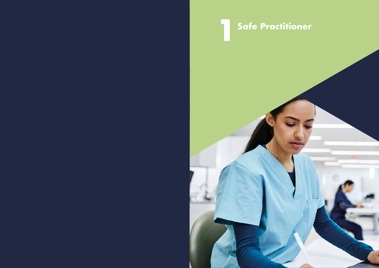

# **1Safe Practitioner**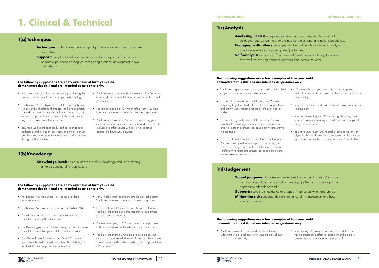

# **1. Clinical & Technical**

## **1(a) Techniques**

### **The following suggestions are a few examples of how you could demonstrate this skill and are intended as guidance only.**

### **The following suggestions are a few examples of how you could demonstrate this skill and are intended as guidance only.**

- You have an insight into your competency and recognise areas for development, detailed in your reflective log.
- For Dentists, Dental Hygienists, Dental Therapists, Dental Nurses and Orthodontic Therapists: You have accurately carried out a number of individual procedures safely and to an appropriate standard, demonstrated through your logbook of care - no set requirements.
- You have worked independently, perhaps alongside a colleague, and/or under supervision, in a timely manner and have sought support when appropriate, demonstrated through multi-source feedback.
- You have used a range of techniques in clinical/technical cases and can illustrate these techniques with photographs /radiographs.
- You are developing a PDP which reflects how you have built on your knowledge of techniques since graduation.
- You have undertaken CPD related to developing your clinical/technical techniques and skills, and have critically evaluated its effectiveness with a view to selecting appropriate future CPD activities.
- **Techniques:** able to carry out a range of procedures or techniques accurately and safely.
- **Support:** receptive to help and frequently seeks the support and assurance of more experienced colleagues, recognising areas for development in own competency.

- For Dentists: You have successfully completed dental foundation year.
- For Dentists: You have completed part one MIDF/MFDS
- For all other dental professions: You have successfully completed your qualification courses.
- For Dental Hygienists and Dental Therapists: You may have completed foundation year, but this is not necessary.
- For Clinical Dental Technicians and Dental Technicians: You have effectively carried out routine clinical/technical work whilst being responsive to supervision.
- For Clinical Dental Technicians and Dental Technicians: You have a knowledge of medical device regulation.
- For Clinical Dental Technicians and Dental Technicians: You have undertaken personal research, or a technical practice witness statement.
- You are developing a PDP which reflects how you have built on your theoretical knowledge since graduation.
- You have undertaken CPD related to developing your clinical/technical knowledge, and have critically evaluated its effectiveness with a view to selecting appropriate future CPD activities.

# **1(b) Knowledge**

**Knowledge level:** has a foundation level of knowledge and is developing an understanding of its application.

> **Sound judgement:** makes evidence-based judgement in clinical/technical practice. Respects scope of practice, ensuring quality within own scope, and appropriate referrals beyond it. **Support:** seeks input, guidance and support from others when appropriate. **Mitigating risk:** understands the importance of risk assessment and how to report concerns.

> **Analysing needs:** is beginning to understand and interpret the needs of significant events and improve (patient) outcomes. **Self-analysis:** in order to inform personal development, is starting to analyse

## **1(c) Analysis**

## **1(d) Judgement**

### **The following suggestions are a few examples of how you could demonstrate this skill and are intended as guidance only.**

### **The following suggestions are a few examples of how you could demonstrate this skill and are intended as guidance only.**

- You have sought multi-source feedback and use it to reflect on your work, shown in your reflective log.
- For Dental Hygienists and Dental Therapists: You are beginning to get involved with direct access appointments, and know when support is required, reflected in case studies.
- For Dental Hygienists and Dental Therapists: You work closely with a referring practitioner and are involved in analysis in order to provide bespoke patient care, shown in case studies.
- For Clinical Dental Technicians and Dental Technicians: You work closely with a referring practitioner and are involved in analysis in order to manufacture devices to a satisfactory standard and provide bespoke patient care, demonstrated in case studies.

• You have treatment planned and applied effective judgement to a clinical case, or in your practice, shown in a detailed case study.

• Your manager/senior clinician has assessed that you have demonstrated effective judgement and is able to cite examples, shown in a recent appraisal.

- 
- colleagues and patients to ensure a positive professional and patient experience.
- **Engaging with others:** engages with the oral health care team to analyse
	-
	- own work by seeking pertinent feedback from across the team.
		- Where applicable, you have given advice to patients which has resulted in improved oral health, detailed in your reflective log.
		- You have been involved in audit/service evaluation/quality improvement.
		- You are developing your PDP, including identifying how you are shaping your analytical skills and how you plan to progress these further.
		- You have undertaken CPD related to developing your analytical skills, and have critically evaluated its effectiveness with a view to selecting appropriate future CPD activities.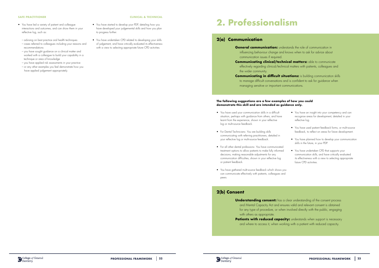- You have led a variety of patient and colleague interactions and outcomes, and can show them in your reflective log, such as:
	- advising on best practice oral health techniques
- cases referred to colleagues including your reasons and recommendations
- you have sought guidance on a clinical matter and worked with a colleague to build your capability in a technique or area of knowledge
- you have applied risk assessments in your practice – or any other examples you feel demonstrate how you
- have applied judgement appropriately.

**General communication:** understands the role of communication in influencing behaviour change and knows when to ask for advice about

- You have started to develop your PDP, detailing how you have developed your judgemental skills and how you plan to progress further.
- You have undertaken CPD related to developing your skills of judgement, and have critically evaluated its effectiveness with a view to selecting appropriate future CPD activities.

**Communicating in difficult situations:** is building communication skills to manage difficult conversations and is confident to ask for guidance when managing sensitive or important communications.

### **SAFE PRACTITIONER CLINICAL & TECHNICAL**

# **2. Professionalism**

## **2(a) Communication**

communication issues if required.

**Communicating clinical/technical matters:** able to communicate effectively regarding clinical/technical matters with patients, colleagues and

the wider community.

**Understanding consent:** has a clear understanding of the consent process and Mental Capacity Act and ensures valid and relevant consent is obtained for any type of procedure, or when involved directly with the public, engaging with others as appropriate.

### **The following suggestions are a few examples of how you could demonstrate this skill and are intended as guidance only.**

**Patients with reduced capacity:** understands when support is necessary and where to access it, when working with a patient with reduced capacity.





- You have used your communication skills in a difficult situation, perhaps with guidance from others, and have learnt from the experience, shown in your reflective log or multi-source feedback.
- For Dental Technicians: You are building skills communicating with referring practitioners, detailed in your reflective log or multi-source feedback.
- For all other dental professions: You have communicated treatment options to allow patients to make fully informed decisions, making reasonable adjustments for any communication difficulties, shown in your reflective log or patient feedback.
- You have gathered multi-source feedback which shows you can communicate effectively with patients, colleagues and peers.
- You have an insight into your competency and can recognise areas for development, detailed in your reflective log.
- You have used patient feedback forms, or multi-source feedback, to reflect on areas for future development.
- You have planned how to develop your communication skills in the future, in your PDP.
- You have undertaken CPD that supports your communication skills, and have critically evaluated its effectiveness with a view to selecting appropriate future CPD activities.

## **2(b) Consent**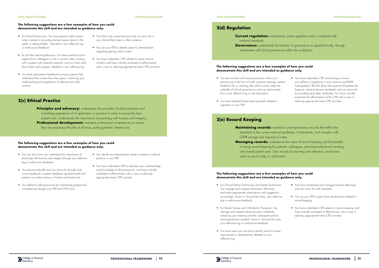# **2(c) Ethical Practice**

**Principles and advocacy:** understands the principles of ethical practice and is building experience of its application in practice in order to ensure the best patient care. Understands the importance of practising with honesty and integrity. **Professional development:** maintains professional competencies to ensure they are practising ethically at all times, putting patients' interests first.

### **SAFE PRACTITIONER PROFESSIONALISM**

### **The following suggestions are a few examples of how you could demonstrate this skill and are intended as guidance only.**

- For Dental Technicians: You have gained valid consent when involved in providing denture repairs direct to the public or taking shades, indicated in your reflective log or multi-source feedback.
- for all other dental professions: You have reached out for support from colleagues to aid in consent when working with a patient with reduced capacity, and you have used this to learn and progress, detailed in your reflective log.
- You have used patient feedback to ensure patients fully understand the consent they have given, confirming your understanding and application of relevant and valid consent.

### **The following suggestions are a few examples of how you could**  demonstrate this skill and are intended as guidance only.

**Current regulation:** understands current regulation and is compliant with national standards. involvement with local governance within the workplace.

- You follow the consent process and can show this in your clinical/lab notes or other evidence.
- You use your PDP to identify areas for development regarding gaining valid consent.
- You have undertaken CPD related to issues around consent, and have critically evaluated its effectiveness with a view to selecting appropriate future CPD activities.

- You can show how you understand the importance of practising with honesty and integrity through your reflective log or multi-source feedback.
- You practice ethically and can show this through multisource feedback or patient feedback eg testimonials from patients via online reviews or friends and family tests.
- You adhere to ethical practice by maintaining professional competencies through your PDP and CPD hours.
- You identify any development needs in relation to ethical practice in your PDP.
- You have undertaken CPD to develop your understanding and knowledge of ethical practice, and have critically evaluated its effectiveness with a view to selecting appropriate future CPD activities.

## **2(e) Record Keeping**

**Maintaining records:** maintains contemporaneous records that reflect the standards in the current national guidelines. Understands, and complies with, GDPR storage and disposal of notes. **Managing records:** understands the value of record keeping and the benefits of strong record keeping for patients, colleagues, personal professional standing and overall patient care. Uses records for learning and reflection, and knows when to ask for help or clarification.

### **SAFE PRACTITIONER PROFESSIONALISM**

### **The following suggestions are a few examples of how you could demonstrate this skill and are intended as guidance only.**

### **The following suggestions are a few examples of how you could demonstrate this skill and are intended as guidance only.**

- You are involved with local governance within your practice eg in the form of audit, practice meetings, patient feedback etc or anything else which comes under the umbrella of clinical governance, and can demonstrate this in your reflective log or role description.
- You have identified future learning needs related to regulation in your PDP.

• You have undertaken CPD and training to ensure you adhere to regulations in your practice eg IRMER (radiography), BLS/ILS (Basic life support/Immediate Life Support), medical devices standards, and can show this by providing up-to-date certificates. You have critically evaluated the effectiveness of this CPD with a view to selecting appropriate future CPD activities.

- For Clinical Dental Technicians and Dental Technicians: You manage and interpret information effectively and make appropriate observations and suggestions accordingly, shown in clinical/lab notes, your reflective log or multi-source feedback.
- For Dental Nurses and Orthodontic Therapists: You manage and interpret dental records confidently, extracting your meaning and the subsequent actions and preparations needed, shown in clinical/lab notes, your reflective log or multi-source feedback.
- You have used your records to identify areas for future improvement or development, detailed in your reflective log.



**Governance:** understands the function of governance as applied locally, through

- You have maintained and managed records effectively and can show this with examples.
- You use your PDP to plan future development related to record keeping.
- You have undertaken CPD related to record keeping, and have critically evaluated its effectiveness with a view to selecting appropriate future CPD activities.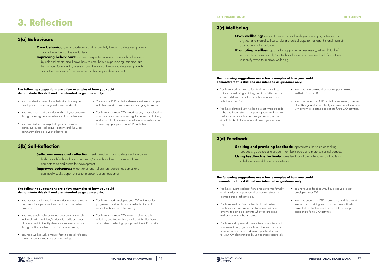# **3. Reflection**

## **3(a) Behaviours**

# **3(b) Self-Reflection**

- **Own behaviour:** acts courteously and respectfully towards colleagues, patients and all members of the dental team.
- **Improving behaviours:** aware of expected minimum standards of behaviour by self and others, and knows how to seek help if experiencing inappropriate behaviours. Can identify areas of own behaviour towards colleagues, patients and other members of the dental team, that require development.

- **Self-awareness and reflection:** seeks feedback from colleagues to improve both clinical/technical and non-clinical/non-technical skills. Is aware of own competencies and areas for development.
- **Improved outcomes:** understands and reflects on (patient) outcomes and continually seeks opportunities to improve (patient) outcomes.

### **The following suggestions are a few examples of how you could demonstrate this skill and are intended as guidance only.**

### **The following suggestions are a few examples of how you could demonstrate this skill and are intended as guidance only.**

**Own wellbeing:** demonstrates emotional intelligence and pays attention to physical and mental self-care, taking practical steps to manage this and maintain

- You can identify areas of your behaviour that require development by accessing multi-source feedback.
- You have developed an understanding of your behaviour through receiving personal references from colleagues.
- You have built up an insight into your professional behaviour towards colleagues, patients and the wider community, detailed in your reflective log.
- You use your PDP to identify development needs and plan activities to address issues around managing behaviour.
- You have undertaken CPD to address any issues related to your own behaviour or managing the behaviour of others, and have critically evaluated its effectiveness with a view to selecting appropriate future CPD activities.

**Seeking and providing feedback:** appreciates the value of seeking feedback, guidance and support from both peers and more senior colleagues. **Using feedback effectively:** uses feedback from colleagues and patients to help improve skills and competence.

- You maintain a reflective log which identifies your strengths and areas for improvement in order to improve patient outcomes.
- You have sought multi-source feedback on your clinical/ technical and non-clinical/non-technical skills and been able to utilise it to identify developmental needs, shown through multi-source feedback, PDP or reflective log.
- You have worked with a mentor, focusing on self-reflection, shown in your mentee notes or reflective log.
- You have started developing your PDP with areas for progression identified from your self-reflection, multisource feedback and reflective log.
- You have undertaken CPD related to effective selfreflection, and have critically evaluated its effectiveness with a view to selecting appropriate future CPD activities.

### **SAFE PRACTITIONER REFLECTION**

## **3(c) Wellbeing**

## **3(d) Feedback**

- a good work/life balance.
- **Promoting wellbeing:** asks for support when necessary, either clinically/
	- to identify ways to improve wellbeing.

technically or non-clinically/non-technically, and can use feedback from others

### **The following suggestions are a few examples of how you could demonstrate this skill and are intended as guidance only.**

- You have used multi-source feedback to identify how to improve wellbeing eg taking part in activities outside of work, detailed through your multi-source feedback, reflective log or PDP.
- You have identified your wellbeing is not where it needs to be and have asked for support eg have withheld from performing a procedure because you know you cannot do it to the best of your ability, shown in your reflective log.
- You have incorporated development points related to wellbeing in your PDP.
- You have undertaken CPD related to maintaining a sense of wellbeing, and have critically evaluated its effectiveness with a view to selecting appropriate future CPD activities.

- You have sought feedback from a mentor (either formally or informally) to support your development, shown in mentee notes or reflective log.
- You have used multi-source feedback and patient feedback, such as patient questionnaires and online reviews, to gain an insight into what you are doing well and what can be improved.
- You have had open and constructive conversations with your senior to engage properly with the feedback you have received in order to develop specific future aims for your PDP, demonstrated by your manager appraisals.



- You have used feedback you have received to start developing your PDP.
- You have undertaken CPD to develop your skills around seeking and providing feedback, and have critically evaluated its effectiveness with a view to selecting appropriate future CPD activities.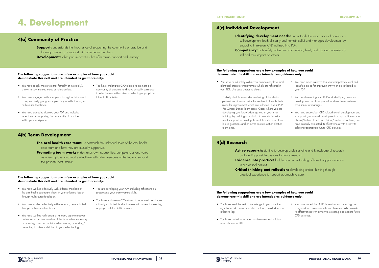# **4. Development**

## **4(a) Community of Practice**

**Support:** understands the importance of supporting the community of practice and forming a network of support with other team members. **Development:** takes part in activities that offer mutual support and learning.

## **4(b) Team Development**

- **The oral health care team:** understands the individual roles of the oral health care team and how they are mutually supportive.
- **Promoting team work:** understands own capabilities, competencies and value as a team player and works effectively with other members of the team to support the patient's best interest.

### **The following suggestions are a few examples of how you could demonstrate this skill and are intended as guidance only.**

### **The following suggestions are a few examples of how you could demonstrate this skill and are intended as guidance only.**

- You have sought mentors (either formally or informally), shown in your mentee notes or reflective log.
- You have engaged with your peers through activities such as a peer study group, exampled in your reflective log or multi-source feedback.
- You have undertaken CPD related to promoting a community of practice, and have critically evaluated its effectiveness with a view to selecting appropriate future CPD activities.
- You have started to develop your PDP and included reflections on supporting the community of practice within your workplace.

Active research: starting to develop understanding and knowledge of research and identify possible avenues for future research. **Evidence into practice:** building an understanding of how to apply evidence in a practical context.

**Critical thinking and reflection:** developing critical thinking through practical experience to support approach to care.

- You have worked effectively with different members of the oral health care team, show in your reflective log or through multi-source feedback.
- You have worked effectively within a team, demonstrated through multi-source feedback.
- You have worked with others as a team, eg referring your patient on to another member of the team when necessary or receiving a second opinion when unsure, or leading/ presenting to a team, detailed in your reflective log.
- You are developing your PDP, including reflections on progressing your team-working skills.
- You have undertaken CPD related to team work, and have critically evaluated its effectiveness with a view to selecting appropriate future CPD activities.

**SAFE PRACTITIONER DEVELOPMENT**

## **4(c) Individual Development**

# **4(d) Research**

self-development (both clinically and non-clinically) and manages development by engaging in relevant CPD outlined in a PDP. **Competency:** acts safely within own competency level, and has an awareness of self and their impact on others.

### **The following suggestions are a few examples of how you could demonstrate this skill and are intended as guidance only.**

### **The following suggestions are a few examples of how you could demonstrate this skill and are intended as guidance only.**

- You have acted safely within your competency level and identified areas for improvement which are reflected in your PDP. Use case studies to detail:
- Partially dentate cases demonstrating all the dental professionals involved with the treatment plans, but also areas for improvement which are reflected in your PDP. – For Clinical Dental Technicians: Cases where you are developing your knowledge, gained in your initial training, by building a portfolio of case studies with mentor support to develop those skills such as occlusal bite registrations and or lower denture suction denture techniques.
- You have acted safely within your competency level and identified areas for improvement which are reflected in your PDP.
- You are developing your PDP and identifying areas for development and how you will address these, reviewed by a senior or manager.
- You have undertaken CPD related to self development and to support your overall development as a practitioner on a clinical/technical and non-clinical/non-technical level, and have critically evaluated its effectiveness with a view to selecting appropriate future CPD activities.

- You have used theoretical knowledge in your practice eg introduced a new procedure method, detailed in your reflective log.
- You have started to include possible avenues for future research in your PDP.



**Identifying development needs:** understands the importance of continuous

• You have undertaken CPD in relation to conducting and using evidence from research, and have critically evaluated its effectiveness with a view to selecting appropriate future CPD activities.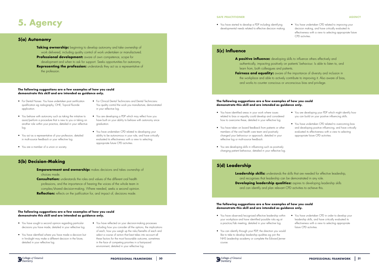# **5. Agency**

## **5(a) Autonomy**

# **5(b) Decision-Making**

- **Empowerment and ownership:** makes decisions and takes ownership of choices made.
- **Consultation:** understands the roles and values of the different oral health professions, and the importance of hearing the voices of the whole team in complex/shared decision-making. Where needed, seeks a second opinion. **Reflection:** reflects on the justification for, and impact of, decisions made.

**Taking ownership:** beginning to develop autonomy and take ownership of work delivered, including quality control of work undertaken or manufactured. **Professional development:** aware of own competence, scope for development and when to ask for support. Seeks opportunities for autonomy. **Representing the profession:** understands they act as a representative of the profession.

### **The following suggestions are a few examples of how you could demonstrate this skill and are intended as guidance only.**

### **The following suggestions are a few examples of how you could demonstrate this skill and are intended as guidance only.**

- For Dental Nurses: You have undertaken post certification qualification eg radiography, OHE, Topical fluoride application.
- You behave with autonomy such as taking the initiative to assist/perform a procedure that is new to you or taking on another role within your practice, detailed in your reflective log.
- You act as a representative of your profession, detailed in multi-source feedback or your reflective log.
- You are a member of a union or society.
- For Clinical Dental Technicians and Dental Technicians: You quality control the work you manufacture, demonstrated in your reflective log.
- You are developing a PDP which may reflect how you have built on your ability to behave with autonomy since graduation.
- You have undertaken CPD related to developing your ability to be autonomous in your role, and have critically evaluated its effectiveness with a view to selecting appropriate future CPD activities.

**Leadership skills:** understands the skills that are needed for effective leadership, and recognises that leadership can be demonstrated in any role. **Developing leadership qualities:** aspires to developing leadership skills and can identify and plan relevant CPD activities to achieve this.

- You have sought a second opinion regarding particular decisions you have made, detailed in your reflective log.
- You have identified where you have made a decision but in hindsight may make a different decision in the future, detailed in your reflective log.
- You have reflected on your decision-making processes including how you consider all the options, the implications of each, how you weigh up the risks/benefits of each and select a course of action that best takes into account all these factors for the most favourable outcome, sometimes in the face of competing priorities in a fast-paced environment, detailed in your reflective log.

• You have started to develop a PDP including identifying developmental needs related to effective decision making. • You have undertaken CPD related to improving your decision making, and have critically evaluated its effectiveness with a view to selecting appropriate future CPD activities.

### **SAFE PRACTITIONER AGENCY**

## **5(c) Influence**

# **5(d) Leadership**

**A positive influence:** developing skills to influence others effectively and authentically, impacting positively on patients' behaviour. Is able to listen to, and learn from, both colleagues and patients. **Fairness and equality:** aware of the importance of diversity and inclusion in the workplace and able to actively contribute to improving it. Also aware of bias, and works to counter conscious or unconscious bias and privilege.

### **The following suggestions are a few examples of how you could demonstrate this skill and are intended as guidance only.**

- You have identified areas in your work where issues related to bias or equality could develop and considered how to overcome these, detailed in your reflective log.
- You have taken on board feedback from patients or other members of the oral health care team and positively changed your behaviour or approach, detailed in your reflective log or multi-source feedback.
- You are developing skills in influencing such as positively changing patient behaviour, detailed in your reflective log.
- You are developing your PDP which might identify how you can build on your positive influencing skills.
- You have undertaken CPD related to overcoming bias and developing positive influencing, and have critically evaluated its effectiveness with a view to selecting appropriate future CPD activities.

- You have observed/recognised effective leadership within your workplace and have identified possible risks eg at a practice/lab meeting, detailed in your reflective log.
- You can identify through your PDP, the direction you would like to take to develop leadership qualities eg join the NHS Leadership academy or complete the Edward Jenner course.



- 
- - You have undertaken CPD in order to develop your leadership skills, and have critically evaluated its effectiveness with a view to selecting appropriate future CPD activities.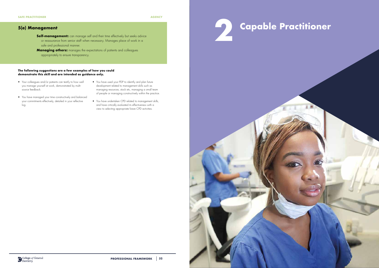# **5(e) Management**

- **Self-management:** can manage self and their time effectively but seeks advice or reassurance from senior staff when necessary. Manages place of work in a safe and professional manner.
- **Managing others:** manages the expectations of patients and colleagues appropriately to ensure transparency.

### **The following suggestions are a few examples of how you could demonstrate this skill and are intended as guidance only.**

- Your colleagues and/or patients can testify to how well you manage yourself at work, demonstrated by multisource feedback.
- You have managed your time constructively and balanced your commitments effectively, detailed in your reflective log.
- You have used your PDP to identify and plan future development related to management skills such as managing resources, stock etc, managing a small team of people or managing constructively within the practice.
- You have undertaken CPD related to management skills, and have critically evaluated its effectiveness with a view to selecting appropriate future CPD activities.

# **2 Capable Practitioner**

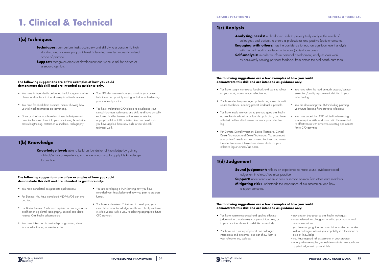# **1. Clinical & Technical**

## **1(a) Techniques**

### **The following suggestions are a few examples of how you could demonstrate this skill and are intended as guidance only.**

### **The following suggestions are a few examples of how you could demonstrate this skill and are intended as guidance only.**

- You have independently performed the full range of routine clinical and/or technical work safely in a timely manner.
- You have feedback from a clinical mentor showing how your (clinical) techniques are advancing.
- Since graduation, you have learnt new techniques and have implemented them into your practice eg IV sedation, crown lengthening, restoration of implants, radiography.
- Your PDP demonstrates how you maintain your current techniques and possibly starting to think about extending your scope of practice.
- You have undertaken CPD related to developing your clinical/technical techniques and skills, and have critically evaluated its effectiveness with a view to selecting appropriate future CPD activities. You can detail how you have applied these new skills to your clinical/ technical work.

**Knowledge level:** able to build on foundation of knowledge by gaining clinical/technical experience, and understands how to apply this knowledge to practice.

- **Techniques:** can perform tasks accurately and skilfully to a consistently high standard and is developing an interest in learning new techniques to extend scope of practice.
- **Support:** recognises areas for development and when to ask for advice or a second opinion.

- You have completed postgraduate qualifications.
- For Dentists: You have completed MJDF/MFDS part one and two.
- For Dental Nurses: You have completed a post-registration qualification eg dental radiography, special care dental nursing, Oral health education etc.
- You have taken part in mentorship programmes, shown in your reflective log or mentee notes.
- You are developing a PDP showing how you have extended your knowledge and how you plan to progress further.
- You have undertaken CPD related to developing your clinical/technical knowledge, and have critically evaluated its effectiveness with a view to selecting appropriate future CPD activities.

# **1(b) Knowledge**

**Sound judgement:** reflects on experience to make sound, evidence-based judgement in clinical/technical practice. **Support:** understands when to seek a second opinion from other team members. **Mitigating risk:** understands the importance of risk assessment and how to report concerns.

**Analysing needs:** is developing skills to pre-emptively analyse the needs of with the oral health care team to improve (patient) outcomes. **Self-analysis:** in order to inform personal development, analyses own work

- You have treatment planned and applied effective judgement to a moderately complex clinical case, or in your practice, shown in a detailed case study.
- You have led a variety of patient and colleague interactions and outcomes, and can show them in your reflective log, such as:



- advising on best practice oral health techniques
- cases referred to colleagues including your reasons and recommendations
- you have sought guidance on a clinical matter and worked with a colleague to build your capability in a technique or area of knowledge
- you have applied risk assessments in your practice
- or any other examples you feel demonstrate how you have applied judgement appropriately.

## **1(c) Analysis**

# **1(d) Judgement**

### **The following suggestions are a few examples of how you could demonstrate this skill and are intended as guidance only.**

### **The following suggestions are a few examples of how you could demonstrate this skill and are intended as guidance only.**

- You have sought multi-source feedback and use it to reflect on your work, shown in your reflective log.
- You have effectively managed patient care, shown in multisource feedback, including patient feedback if possible.
- You have made interventions to promote good oral health eg oral health education or fluoride application, and have reflected on their effectiveness, shown in your reflective log.
- For Dentists, Dental Hygienists, Dental Therapists, Clinical Dental Technicians and Dental Technicians: You understand your patients' needs, can recommend treatment and assess the effectiveness of interventions, demonstrated in your reflective log or clinical/lab notes.

**CAPABLE PRACTITIONER CLINICAL & TECHNICAL**

- 
- colleagues and patients to ensure a professional and positive (patient) outcome.
- **Engaging with others:** has the confidence to lead on significant event analysis
	-
	- by consistently seeking pertinent feedback from across the oral health care team.
		- You have taken the lead on audit projects/service evaluation/quality improvement, detailed in your reflective log.
		- You are developing your PDP including planning your future learning from previous reflections.
		- You have undertaken CPD related to developing your analytical skills, and have critically evaluated its effectiveness with a view to selecting appropriate future CPD activities.

- 
-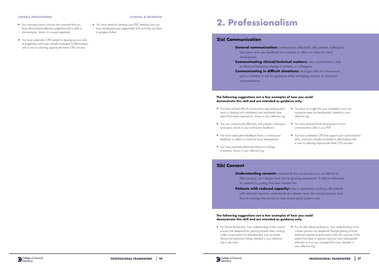- Your manager/senior clinician has assessed that you have demonstrated effective judgement and is able to cite examples, shown in a recent appraisal.
- You have undertaken CPD related to developing your skills of judgement, and have critically evaluated its effectiveness with a view to selecting appropriate future CPD activities.

**General communication:** communicates effectively with patients, colleagues and peers and uses feedback from patients to reflect on areas for future

**Communicating clinical/technical matters:** uses communication skills to influence behaviour change in patients or colleagues.

• You have started to develop your PDP, detailing how you have developed your judgemental skills and how you plan to progress further.

> **Communicating in difficult situations:** manages difficult conversations and is confident to ask for guidance when managing sensitive or important

### **CAPABLE PRACTITIONER CLINICAL & TECHNICAL**

# **2. Professionalism**

## **2(a) Communication**

development.

communications.

### **The following suggestions are a few examples of how you could demonstrate this skill and are intended as guidance only.**

**Understanding consent:** understands the consent process, as relevant to their practice, at a deeper level due to growing experience. Is able to advocate for patients by putting their best interests first.

**Patients with reduced capacity:** due to experience working with patients with reduced capacity, understands at a deeper level, the consent process and how to manage the process to best ensure good patient care.

- You have tackled difficult conversations (eg breaking bad news or dealing with complaints) and importantly have learnt from these experiences, shown in your reflective log.
- You can communicate effectively with patients, colleagues and peers, shown in your multi-source feedback.
- You have used patient feedback forms, or multi-source feedback, to reflect on areas for future development.
- You have positively influenced behaviour change in patients, shown in your reflective log.
- You have an insight into your competency and can recognise areas for development, detailed in your reflective log.
- You have planned future development of your communication skills in your PDP.
- You have undertaken CPD that supports your communication skills, and have critically evaluated its effectiveness with a view to selecting appropriate future CPD activities.

## **2(b) Consent**

• For Dental Technicians: Your understanding of the consent process has deepened by gaining consent when working under a prescription for extended duty such as shade taking and impression taking, detailed in your reflective log or lab notes.



• For all other dental professions: Your understanding of the consent process has deepened through gaining clinical/ technical experience particularly when the capacity of the patient has been in question and you have subsequently reflected on how you managed this case, detailed in your reflective log.

**PROFESSIONAL FRAMEWORK** | 36 **PROFESSIONAL FRAMEWORK** | 37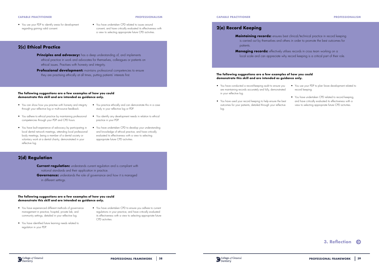

## **2(c) Ethical Practice**

- **Principles and advocacy:** has a deep understanding of, and implements ethical practice in work and advocates for themselves, colleagues or patients on ethical issues. Practises with honesty and integrity.
- **Professional development:** maintains professional competencies to ensure they are practising ethically at all times, putting patients' interests first.

### **PROFESSIONALISM**

### **The following suggestions are a few examples of how you could demonstrate this skill and are intended as guidance only.**

**Current regulation:** understands current regulation and is compliant with national standards and their application in practice. **Governance:** understands the role of governance and how it is managed in different settings.

- You can show how you practise with honesty and integrity You practice ethically and can demonstrate this in a case through your reflective log or multi-source feedback.
- You adhere to ethical practice by maintaining professional competencies through your PDP and CPD hours.
- You have built experience of advocacy by participating in local dental network meetings, attending local professional body meetings, being a member of a dental society or voluntary work at a dental charity, demonstrated in your reflective log.
- study in your reflective log or PDP.
- You identify any development needs in relation to ethical practice in your PDP.
- You have undertaken CPD to develop your understanding and knowledge of ethical practice, and have critically evaluated its effectiveness with a view to selecting appropriate future CPD activities.

**Maintaining records:** ensures best clinical/technical practice in record keeping is carried out by themselves and others in order to promote the best outcomes for patients.

**Managing records:** effectively utilises records in cross team working on a local scale and can appreciate why record keeping is a critical part of their role.

## **2(d) Regulation**

### **CAPABLE PRACTITIONER**

• You use your PDP to identify areas for development regarding gaining valid consent.

• You have undertaken CPD related to issues around consent, and have critically evaluated its effectiveness with a view to selecting appropriate future CPD activities.

### **The following suggestions are a few examples of how you could demonstrate this skill and are intended as guidance only.**

- You have experienced different methods of governance management in practice, hospital, private lab, and community settings, detailed in your reflective log.
- You have identified future learning needs related to regulation in your PDP.
- You have undertaken CPD to ensure you adhere to current regulations in your practice, and have critically evaluated its effectiveness with a view to selecting appropriate future CPD activities.

## **2(e) Record Keeping**

### **CAPABLE PRACTITIONER PROFESSIONALISM**

- You have conducted a record-keeping audit to ensure you are maintaining records accurately and fully, demonstrated in your reflective log.
- You have used your record keeping to help ensure the best outcomes for your patients, detailed through your reflective log.
- You use your PDP to plan future development related to record keeping.
- You have undertaken CPD related to record keeping, and have critically evaluated its effectiveness with a view to selecting appropriate future CPD activities.

![](_page_19_Picture_34.jpeg)

![](_page_19_Picture_35.jpeg)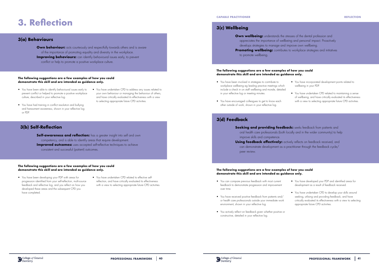# **3. Reflection**

## **3(a) Behaviours**

# **3(b) Self-Reflection**

**Own behaviour:** acts courteously and respectfully towards others and is aware of the importance of promoting equality and diversity in the workplace. **Improving behaviours:** can identify behavioural issues early, to prevent conflict or help to promote a positive workplace culture.

**Self-awareness and reflection:** has a greater insight into self and own competency, and is able to identify areas that require development. **Improved outcomes:** uses accepted self-reflective techniques to achieve consistent and successful (patient) outcomes.

### **The following suggestions are a few examples of how you could demonstrate this skill and are intended as guidance only.**

### **The following suggestions are a few examples of how you could demonstrate this skill and are intended as guidance only.**

- You have been able to identify behavioural issues early to prevent conflict or helped to promote a positive workplace culture, described in your reflective log.
- You have undertaken CPD to address any issues related to your own behaviour or managing the behaviour of others, and have critically evaluated its effectiveness with a view to selecting appropriate future CPD activities.
- and harassment awareness, shown in your reflective log or PDP.

**Own wellbeing:** understands the stresses of the dental profession and appreciates the importance of wellbeing and personal impact. Proactively develops strategies to manage and improve own wellbeing. **Promoting wellbeing:** contributes to workplace strategies and initiatives to promote wellbeing.

• You have had training in conflict resolution and bullying

**Seeking and providing feedback:** seeks feedback from patients and oral health care professionals (both locally and in the wider community) to help

**Using feedback effectively:** actively reflects on feedback received, and can demonstrate development as a practitioner through the feedback cycle/

- You have been developing your PDP with areas for progression identified from your self-reflection, multi-source feedback and reflective log, and you reflect on how you developed these areas and the subsequent CPD you have completed.
- You have undertaken CPD related to effective selfreflection, and have critically evaluated its effectiveness with a view to selecting appropriate future CPD activities.

## **3(c) Wellbeing**

- 
- 
- 
- 

## **3(d) Feedback**

improve skills and competence.

peer review.

### **The following suggestions are a few examples of how you could demonstrate this skill and are intended as guidance only.**

### **The following suggestions are a few examples of how you could demonstrate this skill and are intended as guidance only.**

- You have been involved in strategies to contribute to workplace wellbeing eg leading practice meetings which include a check in on staff wellbeing and morale, detailed in your reflective log or meeting minutes.
- You have encouraged colleagues to get to know each other outside of work, shown in your reflective log.
- You have incorporated development points related to wellbeing in your PDP.
- You have undertaken CPD related to maintaining a sense of wellbeing, and have critically evaluated its effectiveness with a view to selecting appropriate future CPD activities.

- You can compare previous feedback with most current feedback to demonstrate progression and improvement over time.
- You have received positive feedback from patients and/ or health care professionals outside your immediate work environment, shown in your reflective log.
- You actively reflect on feedback given whether positive or constructive, detailed in your reflective log.

![](_page_20_Picture_29.jpeg)

- You have developed your PDP and identified areas for development as a result of feedback received.
- You have undertaken CPD to develop your skills around seeking, utilising and providing feedback, and have critically evaluated its effectiveness with a view to selecting appropriate future CPD activities.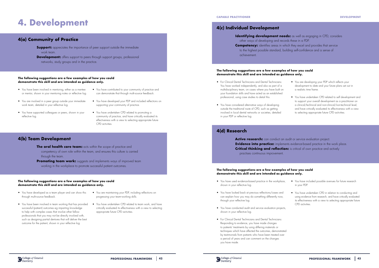# **4. Development**

## **4(a) Community of Practice**

## **4(b) Team Development**

- **Support:** appreciates the importance of peer support outside the immediate work team.
- **Development:** offers support to peers through support groups, professional networks, study groups and in the practice.

- **The oral health care team:** acts within the scope of practice and competency of own role within the team, and ensures this culture is carried through the team.
- **Promoting team work:** suggests and implements ways of improved team working in the workplace to promote successful patient outcomes.

### **The following suggestions are a few examples of how you could demonstrate this skill and are intended as guidance only.**

### **The following suggestions are a few examples of how you could demonstrate this skill and are intended as guidance only.**

- You have been involved in mentoring, either as a mentee or mentor, shown in your mentoring notes or reflective log.
- You are involved in a peer group outside your immediate work team, detailed in your reflective log.
- You have supported colleagues or peers, shown in your reflective log.
- You have contributed to your community of practice and can demonstrate that through multi-source feedback.
- You have developed your PDP and included reflections on supporting your community of practice.
- You have undertaken CPD related to promoting a community of practice, and have critically evaluated its effectiveness with a view to selecting appropriate future CPD activities.

- You have developed as a team player and can show this through multi-source feedback.
- You have been involved in team working that has provided successful (patient) outcomes eg imparting knowledge to help with complex cases that involve other fellow professionals that you may not be directly involved with, such as designing partial dentures that will deliver the best outcome for the patient, shown in your reflective log.
- You are maintaining your PDP, including reflections on progressing your team-working skills.
- You have undertaken CPD related to team work, and have critically evaluated its effectiveness with a view to selecting appropriate future CPD activities.

## **4(c) Individual Development**

## **4(d) Research**

**Active research:** can conduct an audit or service evaluation project. **Evidence into practice:** implements evidence-based practice in the work place. **Critical thinking and reflection:** is critical of own practice and actively

- **Identifying development needs:** as well as engaging in CPD, considers
	-
	-

other ways of developing and records these in a PDP. **Competency:** identifies areas in which they excel and provides that service to the highest possible standard, building self-confidence and a sense of achievement.

practises continuous improvement.

### **The following suggestions are a few examples of how you could demonstrate this skill and are intended as guidance only.**

### **The following suggestions are a few examples of how you could demonstrate this skill and are intended as guidance only.**

- For Clinical Dental Technicians and Dental Technicians: You have worked independently, and also as part of a multidisciplinary team, on cases where you have built on your foundation skills and have acted as an established professional, using case studies to detail this.
- You have considered alternative ways of developing outside the traditional route of CPD, such as getting involved in local dental networks or societies, detailed in your PDP or reflective log.
- You are developing your PDP which reflects your development to date and your future plans set out in a realistic time frame.
- You have undertaken CPD related to self development and to support your overall development as a practitioner on a clinical/technical and non-clinical/non-technical level, and have critically evaluated its effectiveness with a view to selecting appropriate future CPD activities.

- You have used evidence-based practice in the workplace, shown in your reflective log.
- You have looked back at previous reflections/cases and can explain how you may do something differently now, through your reflective log.
- You have conducted audit and service evaluation projects, shown in your reflective log.
- For Clinical Dental Technicians and Dental Technicians: Responding to evidence, you have made changes to patients' treatments by using differing materials or techniques which have affected the outcomes, demonstrated by testimonials from patients who have been treated over a period of years and can comment on the changes you have made.

![](_page_21_Picture_36.jpeg)

- You have included possible avenues for future research in your PDP.
- You have undertaken CPD in relation to conducting and using evidence from research, and have critically evaluated its effectiveness with a view to selecting appropriate future CPD activities.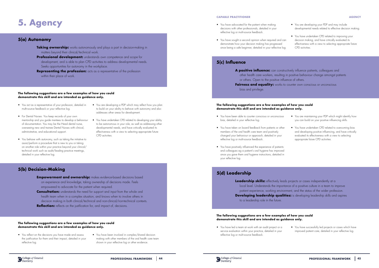# **5. Agency**

## **5(a) Autonomy**

# **5(b) Decision-Making**

- **Empowerment and ownership:** makes evidence-based decisions based on experience and knowledge, taking ownership of decisions made. Feels empowered to advocate for the patient when required.
- **Consultation:** understands the need for support and input from the whole oral health team when in a complex situation, and knows when to involve others in decision making in both clinical/technical and non-clinical/non-technical contexts.
- **Reflection:** reflects on the justification for, and impact of, decisions.
- **Taking ownership:** works autonomously and plays a part in decision-making in matters beyond their clinical/technical work.
- **Professional development:** understands own competence and scope for development, and is able to plan CPD activities to address developmental needs. Seeks opportunities for autonomy in the workplace.
- **Representing the profession:** acts as a representative of the profession within their place of work.

### **The following suggestions are a few examples of how you could demonstrate this skill and are intended as guidance only.**

### **The following suggestions are a few examples of how you could demonstrate this skill and are intended as guidance only.**

Leadership skills: effectively leads projects or cases independently at a local level. Understands the importance of a positive culture in a team to improve patient experience, working environment, and the status of the wider profession. **Developing leadership qualities:** is developing leadership skills and aspires to a leadership role in the future.

- You act as a representative of your profession, detailed in multi-source feedback or your reflective log.
- For Dental Nurses: You keep records of your own mentorship and you guide mentees to develop a behaviour of documentation. You may be the Head dental nurse, overseeing new and trainee Dental Nurses with clinical, administrative, and educational support.
- You behave with autonomy, such as taking the initiative to assist/perform a procedure that is new to you or taking on another role within your practice beyond your clinical/ technical work such as audit/leading practice meetings, detailed in your reflective log.
- You are developing a PDP which may reflect how you plan to build on your ability to behave with autonomy and also addresses other areas for development.
- You have undertaken CPD related to developing your ability to be autonomous in your role, as well as addressing other developmental needs, and have critically evaluated its effectiveness with a view to selecting appropriate future CPD activities.

- You reflect on the decisions you have made and assess the justification for them and their impact, detailed in your reflective log.
- You have been involved in complex/shared decision making with other members of the oral health care team shown in your reflective log or other evidence.

### **AGENCY**

## **5(c) Influence**

# **5(d) Leadership**

or others. Open to the positive influence of others. **Fairness and equality:** works to counter own conscious or unconscious bias and privilege.

### **The following suggestions are a few examples of how you could demonstrate this skill and are intended as guidance only.**

# **The following suggestions are a few examples of how you could**

# **demonstrate this skill and are intended as guidance only.**

- You have been able to counter conscious or unconscious bias, detailed in your reflective log.
- You have taken on board feedback from patients or other members of the oral health care team and positively changed your behaviour or approach, detailed in your reflective log or multi-source feedback.
- You have positively influenced the experience of patients and colleagues eg a patient's oral hygiene has improved since you gave them oral hygiene instructions, detailed in your reflective log.
- You are developing your PDP and may include developmental needs related to effective decision making.
- You have undertaken CPD related to improving your decision making, and have critically evaluated its effectiveness with a view to selecting appropriate future CPD activities.
- **A positive influence:** can constructively influence patients, colleagues and other health care workers, resulting in positive behaviour change amongst patients
	-

- You are maintaining your PDP which might identify how you can build on your positive influencing skills.
- You have undertaken CPD related to overcoming bias and developing positive influencing, and have critically evaluated its effectiveness with a view to selecting appropriate future CPD activities.

• You have led a team at work with an audit project or a service evaluation within your practice, detailed in your reflective log or multi-source feedback.

![](_page_22_Picture_33.jpeg)

• You have successfully led projects or cases which have improved patient care, detailed in your reflective log.

- You have advocated for the patient when making decisions with other professionals, detailed in your reflective log or multi-source feedback.
- You have sought a second opinion when required and can demonstrate how your decision making has progressed since being a safe beginner, detailed in your reflective log.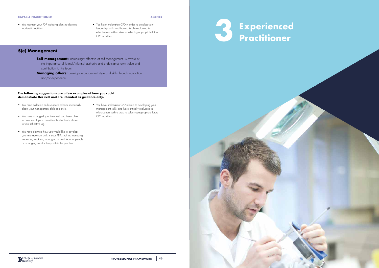**AGENCY**

## **5(e) Management**

- **Self-management:** increasingly effective at self management, is aware of the importance of formal/informal authority and understands own value and contribution to the team.
- **Managing others:** develops management style and skills through education and/or experience.

### **The following suggestions are a few examples of how you could demonstrate this skill and are intended as guidance only.**

- You have collected multi-source feedback specifically about your management skills and style.
- You have managed your time well and been able to balance all your commitments effectively, shown in your reflective log.
- You have planned how you would like to develop your management skills in your PDP, such as managing resources, stock etc, managing a small team of people or managing constructively within the practice.
- You have undertaken CPD related to developing your management skills, and have critically evaluated its effectiveness with a view to selecting appropriate future CPD activities.

- You maintain your PDP including plans to develop leadership abilities.
- You have undertaken CPD in order to develop your leadership skills, and have critically evaluated its effectiveness with a view to selecting appropriate future

![](_page_23_Picture_12.jpeg)

![](_page_23_Picture_11.jpeg)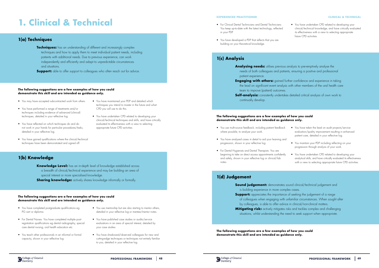# **1. Clinical & Technical**

## **1(a) Techniques**

### **The following suggestions are a few examples of how you could demonstrate this skill and are intended as guidance only.**

### **The following suggestions are a few examples of how you could demonstrate this skill and are intended as guidance only.**

• You have maintained your PDP and detailed which techniques you intend to master in the future and what

CPD you will use to do this.

**Knowledge Level:** has an in-depth level of knowledge established across a breadth of clinical/technical experience and may be building an area of special interest or more specialised knowledge. **Sharing knowledge:** actively shares knowledge informally or formally.

• You have undertaken CPD related to developing your clinical/technical techniques and skills, and have critically evaluated its effectiveness with a view to selecting

- You may have accepted subcontracted work from others.
- You have performed a range of treatments and/or techniques including evidence of advanced (clinical) techniques, detailed in your reflective log.
- You have reflected on which techniques do and do not work in your hands for particular procedures/tasks, detailed in your reflective log.
- You have gained qualifications where the clinical/technical techniques have been demonstrated and signed off.
- **1(b) Knowledge**

appropriate future CPD activities.

**Techniques:** has an understanding of different and increasingly complex techniques and how to apply them to meet individual patient needs, including patients with additional needs. Due to previous experience, can work independently and efficiently and adapt to unpredictable circumstances and situations.

**Support:** able to offer support to colleagues who often reach out for advice.

- You have completed postgraduate qualifications eg PG cert or diploma.
- For Dental Nurses: You have completed multiple postregistration qualifications eg dental radiography, special care dental nursing, oral health education etc.
- You teach other professionals in an informal or formal capacity, shown in your reflective log.
- You use mentorship but are also starting to mentor others, detailed in your reflective log or mentee/mentor notes.
- You have taken the lead on audit projects/service evaluation/quality improvement resulting in enhanced patient care, detailed in your reflective log.
- You maintain your PDP including reflecting on your progression through analysis of your work.
- You have undertaken CPD related to developing your analytical skills, and have critically evaluated its effectiveness with a view to selecting appropriate future CPD activities.

- 
- 
- 
- 
- 

- You have published case studies or audits/service evaluations in an area of special interest, detailed by your case studies.
- You have shadowed/observed colleagues for new and cutting-edge techniques or techniques not entirely familiar to you, detailed in your reflective log.

**Engaging with others:** gained further confidence and experience in taking the lead on significant event analysis with other members of the oral health care

- **Analysing needs:** utilises previous analysis to pre-emptively analyse the patient experience.
- team to improve (patient) outcomes. **Self-analysis:** consistently undertakes detailed critical analysis of own work to continually develop.

## **1(c) Analysis**

## **1(d) Judgement**

**Sound judgement:** demonstrates sound clinical/technical judgement and is building experience in more complex cases. **Support:** appreciates the importance of seeking the judgement of a range of colleagues when engaging with unfamiliar circumstances. When sought after by colleagues, is able to offer advice in clinical/non-clinical matters. **Mitigating risk:** actively mitigates risks and tackles complex and challenging

### **The following suggestions are a few examples of how you could demonstrate this skill and are intended as guidance only.**

**The following suggestions are a few examples of how you could demonstrate this skill and are intended as guidance only.**

![](_page_24_Picture_34.jpeg)

- You use multi-source feedback, including patient feedback where possible, to analyse your work.
- You have analysed cases in detail to aid your learning and progression, shown in your reflective log.
- For Dental Hygienists and Dental Therapists: You are beginning to take on direct access appointments confidently and safely, shown in your reflective log or clinical/lab notes.

### **EXPERIENCED PRACTITIONER CLINICAL & TECHNICAL**

situations, whilst understanding the need to seek support when appropriate.

needs of both colleagues and patients, ensuring a positive and professional

- For Clinical Dental Technicians and Dental Technicians: You keep up-to-date with the latest technology, reflected in your PDP.
- You have developed a PDP that reflects that you are building on your theoretical knowledge.

• You have undertaken CPD related to developing your clinical/technical knowledge, and have critically evaluated its effectiveness with a view to selecting appropriate future CPD activities.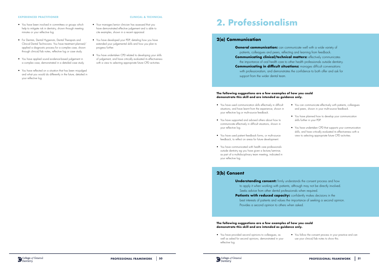### **EXPERIENCED PRACTITIONER CLINICAL & TECHNICAL**

- You have been involved in committees or groups which help to mitigate risk in dentistry, shown through meeting minutes or your reflective log.
- For Dentists, Dental Hygienists, Dental Therapists and Clinical Dental Technicians: You have treatment planned/ applied a diagnostic process for a complex case, shown through clinical/lab notes, reflective log or case study.
- You have applied sound evidence-based judgement in a complex case, demonstrated in a detailed case study.
- You have reflected on a situation that has been misjudged and what you would do differently in the future, detailed in your reflective log.

**General communication:** can communicate well with a wide variety of patients, colleagues and peers, reflecting and learning from feedback. **Communicating clinical/technical matters:** effectively communicates the importance of oral health care to other health professionals outside dentistry. **Communicating in difficult situations:** manages difficult conversations with professionalism, and demonstrates the confidence to both offer and ask for support from the wider dental team.

- 
- Your manager/senior clinician has assessed that you have demonstrated effective judgement and is able to cite examples, shown in a recent appraisal.
- You have developed your PDP, detailing how you have extended your judgemental skills and how you plan to progress further.
- You have undertaken CPD related to developing your skills of judgement, and have critically evaluated its effectiveness with a view to selecting appropriate future CPD activities.

# **2. Professionalism**

## **2(a) Communication**

### **The following suggestions are a few examples of how you could demonstrate this skill and are intended as guidance only.**

- You have used communication skills effectively in difficult situations, and have learnt from the experience, shown in your reflective log or multi-source feedback.
- You have supported and advised others about how to communicate effectively in difficult situations, shown in your reflective log.
- You have used patient feedback forms, or multi-source feedback, to reflect on areas for future development.
- You have communicated with health care professionals outside dentistry eg you have given a lecture/seminar, as part of a multidisciplinary team meeting, indicated in your reflective log.
- You can communicate effectively with patients, colleagues and peers, shown in your multi-source feedback.
- You have planned how to develop your communication skills further in your PDP.
- You have undertaken CPD that supports your communication skills, and have critically evaluated its effectiveness with a view to selecting appropriate future CPD activities.

## **2(b) Consent**

**Understanding consent:** firmly understands the consent process and how to apply it when working with patients, although may not be directly involved. Seeks advice from other dental professionals when required. Patients with reduced capacity: confidently makes decisions in the

best interests of patients and values the importance of seeking a second opinion. Provides a second opinion to others when asked.

• You have provided second opinions to colleagues, as well as asked for second opinions, demonstrated in your reflective log.

![](_page_25_Picture_26.jpeg)

![](_page_25_Picture_28.jpeg)

• You follow the consent process in your practice and can use your clinical/lab notes to show this.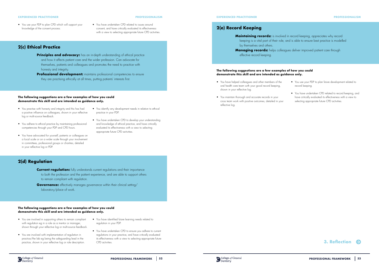## **2(c) Ethical Practice**

- **Principles and advocacy:** has an in-depth understanding of ethical practice and how it affects patient care and the wider profession. Can advocate for themselves, patients and colleagues and promotes the need to practice with honesty and integrity.
- **Professional development:** maintains professional competencies to ensure they are practising ethically at all times, putting patients' interests first.

### **PROFESSIONALISM**

### **The following suggestions are a few examples of how you could demonstrate this skill and are intended as guidance only.**

**Current regulation:** fully understands current regulations and their importance to both the profession and the patient experience, and are able to support others to remain compliant with regulation.

**Governance:** effectively manages governance within their clinical setting/ laboratory/place of work.

- You practise with honesty and integrity and this has had a positive influence on colleagues, shown in your reflective log or multi-source feedback.
- You adhere to ethical practice by maintaining professional competencies through your PDP and CPD hours.
- You have advocated for yourself, patients or colleagues on a local scale or on a wider scale through your involvement in committees, professional groups or charities, detailed in your reflective log or PDP.
- You identify any development needs in relation to ethical practice in your PDP.
- You have undertaken CPD to develop your understanding and knowledge of ethical practice, and have critically evaluated its effectiveness with a view to selecting appropriate future CPD activities.

# **2(d) Regulation**

**Maintaining records:** is involved in record keeping, appreciates why record keeping is a vital part of their role, and is able to ensure best practice is modelled by themselves and others. **Managing records:** helps colleagues deliver improved patient care through effective record keeping.

• You use your PDP to plan CPD which will support your knowledge of the consent process.

• You have undertaken CPD related to issues around consent, and have critically evaluated its effectiveness with a view to selecting appropriate future CPD activities.

### **The following suggestions are a few examples of how you could demonstrate this skill and are intended as guidance only.**

- You are involved in supporting others to remain compliant with regulation eg in a role as a mentor or manager, shown through your reflective log or multi-source feedback.
- You are involved with implementation of regulation in practice/the lab eg being the safeguarding lead in the practice, shown in your reflective log or role description.
- You have identified future learning needs related to regulation in your PDP.
- You have undertaken CPD to ensure you adhere to current regulations in your practice, and have critically evaluated its effectiveness with a view to selecting appropriate future CPD activities.

### **EXPERIENCED PRACTITIONER**

## **2(e) Record Keeping**

**EXPERIENCED PRACTITIONER PROFESSIONALISM**

- You have helped colleagues and other members of the oral health care team with your good record keeping, shown in your reflective log.
- You maintain thorough and accurate records in your cross team work with positive outcomes, detailed in your reflective log.

![](_page_26_Picture_29.jpeg)

- You use your PDP to plan future development related to record keeping.
- You have undertaken CPD related to record keeping, and have critically evaluated its effectiveness with a view to selecting appropriate future CPD activities.

![](_page_26_Picture_34.jpeg)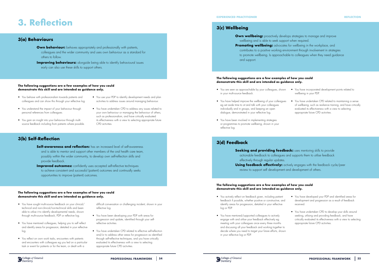![](_page_27_Picture_39.jpeg)

# **3. Reflection**

## **3(a) Behaviours**

# **3(b) Self-Reflection**

- **Own behaviour:** behaves appropriately and professionally with patients, colleagues and the wider community and uses own behaviour as a standard for others to follow.
- **Improving behaviours:** alongside being able to identify behavioural issues early can also use these skills to support others.

- **Self-awareness and reflection:** has an increased level of self-awareness and is able to mentor and support other members of the oral health care team, possibly within the wider community, to develop own self-reflection skills and provide feedback.
- **Improved outcomes:** confidently uses accepted self-reflective techniques to achieve consistent and successful (patient) outcomes and continually seeks opportunities to improve (patient) outcomes.

### **The following suggestions are a few examples of how you could demonstrate this skill and are intended as guidance only.**

### **The following suggestions are a few examples of how you could demonstrate this skill and are intended as guidance only.**

- You have sought multi-source feedback on your clinical/ technical and non-clinical/non-technical skills and been able to utilise it to identify developmental needs, shown through multi-source feedback, PDP or reflective log.
- You have mentored colleagues, helping you to self reflect and identify areas for progression, detailed in your reflective log.
- You reflect on own work tasks, encounters with patients and encounters with colleagues eg you led on a particular task or event for patients or for the team, or dealt with a
- You behave with professionalism towards patients and colleagues and can show this through your reflective log.
- You understand the impact of your behaviour through personal references from colleagues.
- You gain an insight into your behaviour through multisource feedback including from patients where possible.
- You use your PDP to identify development needs and plan activities to address issues around managing behaviour.
- You have undertaken CPD to address any issues related to your own behaviour or managing the behaviour of others, such as professionalism, and have critically evaluated its effectiveness with a view to selecting appropriate future CPD activities.

**Seeking and providing feedback:** uses mentoring skills to provide actionable feedback to colleagues and supports them to utilise feedback

**Using feedback effectively:** actively engages with the feedback cycle/peer review to support self development and development of others.

difficult conversation or challenging incident, shown in your reflective log.

- You have been developing your PDP with areas for progression and update, identified through your selfreflective activities.
- You have undertaken CPD related to effective self-reflection and/or to address other areas for progression as identified through self-reflective techniques, and you have critically evaluated its effectiveness with a view to selecting appropriate future CPD activities.
- **Own wellbeing:** proactively develops strategies to manage and improve wellbeing and is able to seek support when required. **Promoting wellbeing:** advocates for wellbeing in the workplace, and
- contributes to a positive working environment through involvement in strategies to promote wellbeing. Is approachable to colleagues when they need guidance and support.

## **3(d) Feedback**

effectively through regular updates.

### **The following suggestions are a few examples of how you could demonstrate this skill and are intended as guidance only.**

### **The following suggestions are a few examples of how you could demonstrate this skill and are intended as guidance only.**

- You are seen as approachable by your colleagues, shown You have incorporated development points related to in your multi-source feedback.
- You have helped improve the wellbeing of your colleagues eg set aside time to sit and talk with your colleagues individually and in groups, and keeping an open dialogue, demonstrated in your reflective log.
- You have been involved in implementing strategies or programmes to promote wellbeing, shown in your reflective log.
- wellbeing in your PDP.
- You have undertaken CPD related to maintaining a sense of wellbeing, such as resilience training, and have critically evaluated its effectiveness with a view to selecting appropriate future CPD activities.

- You actively reflect on feedback given, including patient feedback if possible, whether positive or constructive, and identify areas for progression, detailed in your reflective log or PDP.
- You have mentored/supported colleagues to actively engage with and utilise your feedback effectively eg meeting with your colleagues once every three months and discussing all your feedback and working together to decide where you need to target your future efforts, shown in your reflective log or PDP.
- You have developed your PDP and identified areas for development and progression as a result of feedback received.
- You have undertaken CPD to develop your skills around seeking, utilising and providing feedback, and have critically evaluated its effectiveness with a view to selecting appropriate future CPD activities.

## **3(c) Wellbeing**

### **EXPERIENCED PRACTITIONER**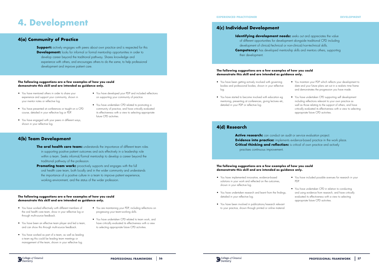# **4. Development**

## **4(a) Community of Practice**

## **4(b) Team Development**

**Support:** actively engages with peers about own practice and is respected for this **Development:** looks for informal or formal mentorship opportunities in order to develop career beyond the traditional pathway. Shares knowledge and experience with others, and encourages others to do the same, to help professional development and improve patient care.

- **The oral health care team:** understands the importance of different team roles in supporting positive patient outcomes and acts effectively in a leadership role within a team. Seeks informal/formal mentorship to develop a career beyond the traditional pathway of the profession.
- **Promoting team work:** proactively supports and engages with the full oral health care team, both locally and in the wider community and understands the importance of a positive culture in a team to improve patient experience, working environment, and the status of the wider profession.

### **The following suggestions are a few examples of how you could demonstrate this skill and are intended as guidance only.**

### **The following suggestions are a few examples of how you could demonstrate this skill and are intended as guidance only.**

**Identifying development needs:** seeks out and appreciates the value of different opportunities for development alongside traditional CPD including development of clinical/technical or non-clinical/non-technical skills. **Competency:** has developed mentorship skills and mentors others, supporting their development.

- You have mentored others in order to share your experience and support your community, shown in your mentor notes or reflective log.
- You have presented at conferences or taught on a CPD course, detailed in your reflective log or PDP.
- You have engaged with your peers in different ways, shown in your reflective log.
- You have developed your PDP and included reflections on supporting your community of practice.
- You have undertaken CPD related to promoting a community of practice, and have critically evaluated its effectiveness with a view to selecting appropriate future CPD activities.

- You have worked effectively with different members of the oral health care team, show in your reflective log or through multi-source feedback.
- You have been an effective team player and led a team, and can show this through multi-source feedback.
- You have worked as part of a team, as well as leading a team eg this could be leading team meetings or management of the team, shown in your reflective log.
- You are maintaining your PDP, including reflections on progressing your team-working skills.
- You have undertaken CPD related to team work, and have critically evaluated its effectiveness with a view to selecting appropriate future CPD activities.

## **4(c) Individual Development**

## **4(d) Research**

Active research: can conduct an audit or service evaluation project. **Evidence into practice:** implements evidence-based practice in the work place. **Critical thinking and reflection:** is critical of own practice and actively

practises continuous improvement.

### **The following suggestions are a few examples of how you could demonstrate this skill and are intended as guidance only.**

### **The following suggestions are a few examples of how you could demonstrate this skill and are intended as guidance only.**

- You have been getting actively involved with governing bodies and professional bodies, shown in your reflective log.
- You have started to become involved with education eg mentoring, presenting at conferences, giving lectures etc, detailed in your PDP or reflective log.
- You maintain your PDP which reflects your development to date and your future plans set out in a realistic time frame and demonstrates the progression you have made.
- You have undertaken CPD supporting self development including reflections relevant to your own practice as well as those relating to the support of others, and have critically evaluated its effectiveness with a view to selecting appropriate future CPD activities.

- You have implemented innovative, evidence-based solutions in your work and reflected on the outcomes, shown in your reflective log.
- You have undertaken research and learnt from the findings, detailed in your reflective log.
- You have been involved in publications/research relevant to your practice, shown through printed or online material.

![](_page_28_Picture_35.jpeg)

- You have included possible avenues for research in your PDP.
- You have undertaken CPD in relation to conducting and using evidence from research, and have critically evaluated its effectiveness with a view to selecting appropriate future CPD activities.

### **EXPERIENCED PRACTITIONER DEVELOPMENT**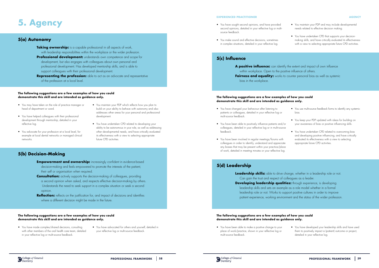# **5. Agency**

## **5(a) Autonomy**

# **5(b) Decision-Making**

- **Taking ownership:** is a capable professional in all aspects of work, with leadership responsibilities within the workplace or the wider profession. **Professional development:** understands own competence and scope for development, but also engages with colleagues about own personal and professional development. Has developed mentorship skills, and is able to support colleagues with their professional development.
- **Representing the profession:** able to act as an advocate and representative of the profession at a local level.

- **Empowerment and ownership:** increasingly confident in evidence-based decision-making and feels empowered to promote the interests of the patient, their self or organisation when required.
- **Consultation:** actively supports the decision-making of colleagues, providing a second opinion when asked, and respects effective decision-making by others. Understands the need to seek support in a complex situation or seek a second opinion.
- **Reflection:** reflects on the justification for, and impact of decisions and identifies where a different decision might be made in the future.

### **The following suggestions are a few examples of how you could demonstrate this skill and are intended as guidance only.**

### **The following suggestions are a few examples of how you could demonstrate this skill and are intended as guidance only.**

- You may have taken on the role of practice manager or head of department or ward.
- You have helped colleagues with their professional development through mentorship, detailed in your reflective log.
- You advocate for your profession at a local level, for example at local dental networks or managed clinical networks.
- You maintain your PDP which reflects how you plan to build on your ability to behave with autonomy and also addresses other areas for your personal and professional development.
- You have undertaken CPD related to developing your ability to be autonomous in your role, as well as addressing other developmental needs, and have critically evaluated its effectiveness with a view to selecting appropriate future CPD activities.

- You have made complex/shared decisions, consulting with other members of the oral health care team, detailed in your reflective log or multi-source feedback.
- You have advocated for others and yourself, detailed in your reflective log or multi-source feedback.

### **AGENCY**

## **5(c) Influence**

# **5(d) Leadership**

**Leadership skills:** able to drive change, whether in a leadership role or not. Can gain the trust and respect of colleagues as a leader. **Developing leadership qualities:** through experience, is developing

**A positive influence:** can identify the extent and impact of own influence within workplace. Open to the positive influence of others. **Fairness and equality:** works to counter personal bias as well as systemic bias in the workplace.

leadership role or not. Works to support positive cultures in order to improve

### **The following suggestions are a few examples of how you could demonstrate this skill and are intended as guidance only.**

### **The following suggestions are a few examples of how you could demonstrate this skill and are intended as guidance only.**

- You have changed your behaviour after listening to patients or colleagues, detailed in your reflective log or multi-source feedback.
- You have been able to positively influence patients and/or colleagues, detailed in your reflective log or in multi-source feedback.
- You have been involved in regular meetings/forums with colleagues in order to identify, understand and appreciate any biases that may be present within your practice/place of work, detailed in meeting minutes or your reflective log.

- 
- leadership skills and sets an example as a role model whether in a formal
	-
- patient experience, working environment and the status of the wider profession.
	- You have developed your leadership skills and have used them to positively impact a (patient) outcome or project, detailed in your reflective log.
- You use multi-source feedback forms to identify any systemic bias.
- You keep your PDP updated with ideas for building on your awareness of bias or positive influencing skills.
- You have undertaken CPD related to overcoming bias and developing positive influencing, and have critically evaluated its effectiveness with a view to selecting appropriate future CPD activities.

• You have been able to make a positive change to your place of work/practice, shown in your reflective log or multi-source feedback.

![](_page_29_Picture_33.jpeg)

- You have sought second opinions, and have provided second opinions, detailed in your reflective log or multisource feedback.
- You make sound and effective decisions, sometimes in complex situations, detailed in your reflective log.
- You maintain your PDP and may include developmental needs related to effective decision making.
- You have undertaken CPD that supports your decisionmaking skills, and have critically evaluated its effectiveness with a view to selecting appropriate future CPD activities.

### **EXPERIENCED PRACTITIONER**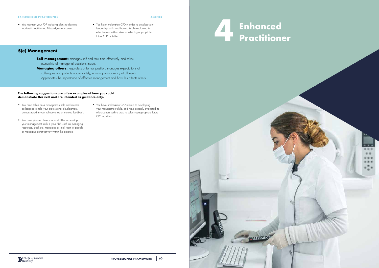**AGENCY**

## **5(e) Management**

- **Self-management:** manages self and their time effectively, and takes ownership of managerial decisions made.
- **Managing others:** regardless of formal position, manages expectations of colleagues and patients appropriately, ensuring transparency at all levels. Appreciates the importance of effective management and how this affects others.

### **The following suggestions are a few examples of how you could demonstrate this skill and are intended as guidance only.**

- You have taken on a management role and mentor colleagues to help your professional development, demonstrated in your reflective log or mentee feedback.
- You have planned how you would like to develop your management skills in your PDP, such as managing resources, stock etc, managing a small team of people or managing constructively within the practice.
- You have undertaken CPD related to developing your management skills, and have critically evaluated its effectiveness with a view to selecting appropriate future CPD activities.

- You maintain your PDP including plans to develop leadership abilities eg Edward Jenner course.
- You have undertaken CPD in order to develop your leadership skills, and have critically evaluated its effectiveness with a view to selecting appropriate future CPD activities.

### **EXPERIENCED PRACTITIONER**

![](_page_30_Picture_11.jpeg)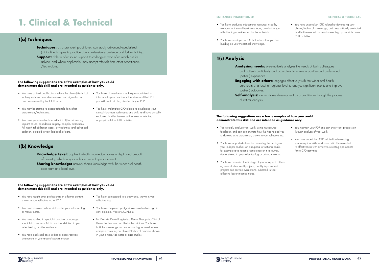# **1. Clinical & Technical**

## **1(a) Techniques**

### **The following suggestions are a few examples of how you could demonstrate this skill and are intended as guidance only.**

### **The following suggestions are a few examples of how you could demonstrate this skill and are intended as guidance only.**

- You have gained qualifications where the clinical/technical techniques have been demonstrated and signed off or can be assessed by the CGD team.
- You may be starting to accept referrals from other practitioners/technicians.
- You have performed advanced (clinical) techniques eg implant cases, periodontal surgery, complex extractions, full mouth rehabilitation cases, orthodontics, and advanced sedation, detailed in your log book of care.
- You have planned which techniques you intend to introduce to your practice in the future and the CPD you will use to do this, detailed in your PDP.
- You have undertaken CPD related to developing your clinical/technical techniques and skills, and have critically evaluated its effectiveness with a view to selecting appropriate future CPD activities.

**Sharing knowledge:** actively shares knowledge with the wider oral health care team at a local level.

- You have taught other professionals in a formal context, shown in your reflective log or PDP.
- You have mentored others, detailed in your reflective log or mentor notes.
- You have worked in specialist practice or managed specialist cases in an NHS practice, detailed in your reflective log or other evidence.
- You have published case studies or audits/service evaluations in your area of special interest.
- You critically analyse your work, using multi-source feedback, and can demonstrate how this has helped you to develop as a practitioner, shown in your reflective log.
- You have supported others by presenting the findings of your in-depth analysis on a regional or national scale, for example at a national conference or in a journal, demonstrated in your reflective log or printed material.
- You have presented the findings of your analysis to others eg case studies, audit projects, quality improvement projects and service evaluations, indicated in your reflective log or meeting notes.

![](_page_31_Picture_33.jpeg)

- You have participated in a study club, shown in your reflective log.
- You have completed postgraduate qualifications eg PG cert, diploma, Msc or MClinDent.
- For Dentists, Dental Hygienists, Dental Therapists, Clinical Dental Technicians and Dental Technicians: You have built the knowledge and understanding required to treat complex cases in your clinical/technical practice, shown in your clinical/lab notes or case studies.

# **1(b) Knowledge**

**Knowledge Level:** applies in-depth knowledge across a depth and breadth of dentistry, which may include an area of special interest.

**Techniques:** as a proficient practitioner, can apply advanced/specialised (clinical) techniques in practice due to extensive experience and further training. **Support:** able to offer sound support to colleagues who often reach out for advice, and where applicable, may accept referrals from other practitioners /technicians.

## **1(c) Analysis**

### **The following suggestions are a few examples of how you could demonstrate this skill and are intended as guidance only.**

- You maintain your PDP and can show your progression through analysis of your work.
- You have undertaken CPD related to developing your analytical skills, and have critically evaluated its effectiveness with a view to selecting appropriate future CPD activities.

### **ENHANCED PRACTITIONER CLINICAL & TECHNICAL**

- **Analysing needs:** pre-emptively analyses the needs of both colleagues and patients confidently and accurately, to ensure a positive and professional (patient) experience.
- **Engaging with others:** engages effectively with the wider oral health care team at a local or regional level to analyse significant events and improve (patient) outcomes.
- **Self-analysis:** demonstrates development as a practitioner through the process of critical analysis.
- You have produced educational resources used by members of the oral healthcare team, detailed in your reflective log or evidenced by the materials.
- You have developed a PDP that reflects that you are building on your theoretical knowledge.

• You have undertaken CPD related to developing your clinical/technical knowledge, and have critically evaluated its effectiveness with a view to selecting appropriate future CPD activities.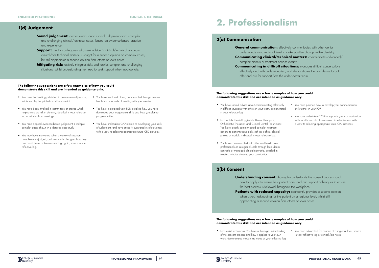## **The following suggestions are a few examples of how you could demonstrate this skill and are intended as guidance only.**

- You have had writing published in peer-reviewed journals, evidenced by the printed or online material.
- You have been involved in committees or groups which help to mitigate risk in dentistry, detailed in your reflective log or minutes from meetings.
- You have applied evidence-based judgement in multiple complex cases shown in a detailed case study.
- You may have intervened when a variety of situations have been misjudged, and informed colleagues how they can avoid these problems occurring again, shown in your reflective log.
- **Sound judgement:** demonstrates sound clinical judgement across complex and challenging clinical/technical cases, based on evidence-based practice and experience.
- **Support:** mentors colleagues who seek advice in clinical/technical and nonclinical/non-technical matters. Is sought for a second opinion on complex cases, but still appreciates a second opinion from others on own cases.
- **Mitigating risk:** actively mitigates risks and tackles complex and challenging situations, whilst understanding the need to seek support when appropriate.

- You have mentored others, demonstrated through mentee feedback or records of meeting with your mentee.
- You have maintained your PDP, detailing how you have developed your judgemental skills and how you plan to progress further.
- You have undertaken CPD related to developing your skills of judgement, and have critically evaluated its effectiveness with a view to selecting appropriate future CPD activities.

**General communication:** effectively communicates with other dental professionals on a regional level to make positive change within dentistry. complex matters or treatment options clearly. **Communicating in difficult situations:** manages difficult conversations offer and ask for support from the wider dental team.

## **1(d) Judgement**

# **2. Professionalism**

## **2(a) Communication**

- **Understanding consent:** thoroughly understands the consent process, and how to apply it to ensure best patient care, and can support colleagues to ensure
- **Patients with reduced capacity:** confidently provides a second opinion
	-
	- - You have advocated for patients at a regional level, shown in your reflective log or clinical/lab notes.

### **The following suggestions are a few examples of how you could demonstrate this skill and are intended as guidance only.**

- 
- **Communicating clinical/technical matters:** communicates advanced/
	- effectively and with professionalism, and demonstrates the confidence to both
		- You have planned how to develop your communication skills further in your PDP.
		- You have undertaken CPD that supports your communication skills, and have critically evaluated its effectiveness with a view to selecting appropriate future CPD activities.
- You have shared advice about communicating effectively in difficult situations with others in your team, demonstrated in your reflective log.
- For Dentists, Dental Hygienists, Dental Therapists, Orthodontic Therapists and Clinical Dental Technicians: You have clearly communicated complex treatment options to patients using aids such as leaflets, clinical photos or models, indicated in your reflective log.
- You have communicated with other oral health care professionals on a regional scale through local dental networks or managed clinical networks, detailed in meeting minutes showing your contribution.

# **2(b) Consent**

the best process is followed throughout the workplace.

when asked, advocating for the patient on a regional level, whilst still appreciating a second opinion from others on own cases.

• For Dental Technicians: You have a thorough understanding of the consent process and how it applies to your own work, demonstrated though lab notes or your reflective log.

![](_page_32_Picture_30.jpeg)

![](_page_32_Picture_31.jpeg)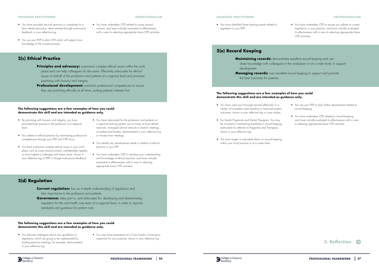![](_page_33_Picture_31.jpeg)

## **2(c) Ethical Practice**

- **Principles and advocacy:** overcomes complex ethical issues within the work place and can help colleagues do the same. Effectively advocates for ethical issues on behalf of the profession and patients at a regional level and promotes practising with honesty and integrity.
- **Professional development:** maintains professional competencies to ensure they are practising ethically at all times, putting patients' interests first.

**PROFESSIONALISM**

### **The following suggestions are a few examples of how you could demonstrate this skill and are intended as guidance only.**

- **Current regulation:** has an in-depth understanding of regulations and their importance to the profession and patients.
- **Governance:** takes part in, and advocates for, developing and disseminating regulation for the oral health care team at a regional level, in order to improve standards and guidance for patient care.
- By practising with honesty and integrity, you have promoted best practise in the profession at a regional  $|_{\rho \vee \rho}|$
- You adhere to ethical practice by maintaining professional competencies through your PDP and CPD hours.
- You have overcome complex ethical issues in your workplace, such as issues around consent, confidentiality, legality, or have helped a colleague with these issues, shown in your reflective log or PDP or though multi-source feedback.
- You have advocated for the profession and patients on a regional level eg spoken out on issues at local dental networks, managed clinical network or branch meetings of professional bodies, demonstrated in your reflective log or minutes from meetings.
- You identify any development needs in relation to ethical practice in your PDP.
- You have undertaken CPD to develop your understanding and knowledge of ethical practice, and have critically evaluated its effectiveness with a view to selecting appropriate future CPD activities.

## **2(d) Regulation**

- You have provided second opinions or contributed to a best interest discussion, demonstrated through multi-source feedback or your reflective log.
- You use your PDP to plan CPD which will support your knowledge of the consent process.

• You have undertaken CPD related to issues around consent, and have critically evaluated its effectiveness with a view to selecting appropriate future CPD activities.

### **The following suggestions are a few examples of how you could demonstrate this skill and are intended as guidance only.**

- You educate colleagues about new guidelines or regulations which are going to be implemented by leading practice meetings, for example, demonstrated in your reflective log.
- You may have experience of a Care Quality Commission inspection for your practice, shown in your reflective log.

### **ENHANCED PRACTITIONER**

## **2(e) Record Keeping**

### **Maintaining records:** demonstrates excellent record keeping and can

share knowledge with colleagues in the workplace or at a wider level, to support development. **Managing records:** uses excellent record keeping to support and promote

the best outcomes for patients.

### **ENHANCED PRACTITIONER PROFESSIONALISM**

### **The following suggestions are a few examples of how you could demonstrate this skill and are intended as guidance only.**

- You have used your thorough records effectively in a variety of (complex) cases resulting in improved patient outcomes, shown in your reflective log or case studies.
- For Dental Hygienists and Dental Therapists: You may be involved in maintaining standards in record keeping particularly for referrals to Hygienists and Therapists, shown in your reflective log.
- You have taught or educated others on record keeping within your local practice or at a wider level.

![](_page_33_Picture_29.jpeg)

- You use your PDP to plan further development related to record keeping.
- You have undertaken CPD related to record keeping, and have critically evaluated its effectiveness with a view to selecting appropriate future CPD activities.

• You have identified future learning needs related to regulation in your PDP.

• You have undertaken CPD to ensure you adhere to current regulations in your practice, and have critically evaluated its effectiveness with a view to selecting appropriate future CPD activities.

![](_page_33_Picture_37.jpeg)

![](_page_33_Picture_38.jpeg)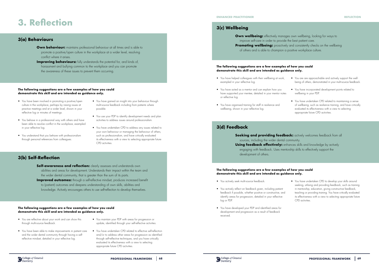# **3. Reflection**

## **3(a) Behaviours**

# **3(b) Self-Reflection**

- **Own behaviour:** maintains professional behaviour at all times and is able to promote a positive/open culture in the workplace at a wider level, resolving conflict where it arises.
- **Improving behaviours:** fully understands the potential for, and kinds of, harassment and bullying common to the workplace and you can promote the awareness of these issues to prevent them occurring.

**Self-awareness and reflection:** clearly assesses and understands own abilities and areas for development. Understands their impact within the team and the wider dental community, that is greater than the sum of its parts. **Improved outcomes:** through a self-reflective mindset, produces increased benefit to (patient) outcomes and deepens understanding of own skills, abilities and knowledge. Actively encourages others to use self-reflection to develop themselves.

### **The following suggestions are a few examples of how you could demonstrate this skill and are intended as guidance only.**

- You have been involved in promoting a positive/open culture in the workplace, perhaps by raising issues at practice meetings and at a wider level, shown in your reflective log or minutes of meetings.
- You behave in a professional way with others and have been able to resolve conflict in the workplace, exampled in your reflective log.
- You understand that you behave with professionalism through personal references from colleagues.
- You have gained an insight into your behaviour through multi-source feedback including from patients where possible.
- You use your PDP to identify development needs and plan activities to address issues around professionalism.
- You have undertaken CPD to address any issues related to your own behaviour or managing the behaviour of others, such as professionalism, and have critically evaluated its effectiveness with a view to selecting appropriate future CPD activities.

### **The following suggestions are a few examples of how you could demonstrate this skill and are intended as guidance only.**

# sources, including the wider dental community. **Using feedback effectively:** enhances skills and knowledge by actively

- You actively seek multi-source feedback.
- You actively reflect on feedback given, including patient feedback if possible, whether positive or constructive, and identify areas for progression, detailed in your reflective log or PDP.
- You have developed your PDP and identified areas for development and progression as a result of feedback received.

![](_page_34_Picture_34.jpeg)

- You are reflective about your work and can show this through multi-source feedback.
- You have been able to make improvements in patient care and the wider dental community through having a selfreflective mindset, detailed in your reflective log.
- You maintain your PDP with areas for progression or update, identified through your self-reflective activities.
- You have undertaken CPD related to effective self-reflection and/or to address other areas for progression as identified through self-reflective techniques, and you have critically evaluated its effectiveness with a view to selecting appropriate future CPD activities.

**Own wellbeing:** effectively manages own wellbeing, looking for ways to improve self-care in order to provide the best patient care. **Promoting wellbeing:** proactively and consistently checks on the wellbeing of others and is able to champion a positive workplace culture.

## **3(d) Feedback**

engaging with feedback. Uses mentorship skills to effectively support the

development of others.

### **The following suggestions are a few examples of how you could demonstrate this skill and are intended as guidance only.**

### **The following suggestions are a few examples of how you could demonstrate this skill and are intended as guidance only.**

- You have helped colleagues with their wellbeing at work, exampled in your reflective log.
- You have acted as a mentor and can explain how you have supported your mentee, detailed in your mentor notes or reflective log.
- You have organised training for staff in resilience and wellbeing, shown in your reflective log.
- You are are approachable and actively support the wellbeing of others, demonstrated in your multi-source feedback.
- You have incorporated development points related to wellbeing in your PDP.
- You have undertaken CPD related to maintaining a sense of wellbeing, such as resilience training, and have critically evaluated its effectiveness with a view to selecting appropriate future CPD activities.

**Seeking and providing feedback:** actively welcomes feedback from all

• You have undertaken CPD to develop your skills around seeking, utilising and providing feedback, such as training in mentorship, education, giving constructive feedback, teaching or providing training. You have critically evaluated its effectiveness with a view to selecting appropriate future CPD activities.

## **3(c) Wellbeing**

### **ENHANCED PRACTITIONER**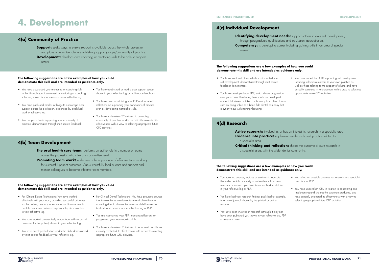# **4. Development**

## **4(a) Community of Practice**

# **4(b) Team Development**

**Support:** seeks ways to ensure support is available across the whole profession and plays a proactive role in establishing support groups/community of practice. **Development:** develops own coaching or mentoring skills to be able to support others.

**The oral health care team:** performs an active role in a number of teams across the profession at a clinical or committee level.

**Promoting team work:** understands the importance of effective team working for successful patient outcomes. Can successfully lead a team and support and mentor colleagues to become effective team members.

### **The following suggestions are a few examples of how you could demonstrate this skill and are intended as guidance only.**

### **The following suggestions are a few examples of how you could demonstrate this skill and are intended as guidance only.**

- You have developed your mentoring or coaching skills further through your involvement in mentoring or coaching schemes, shown in your mentor notes or reflective log.
- You have published articles or blogs to encourage peer support across the profession, evidenced by published work or reflective log.
- You are proactive in supporting your community of practice, demonstrated through multi-source feedback.
- You have established or lead a peer support group, shown in your reflective log or multi-source feedback.
- You have been maintaining your PDP and included reflections on supporting your community of practice such as developing mentorship skills.
- You have undertaken CPD related to promoting a community of practice, and have critically evaluated its effectiveness with a view to selecting appropriate future CPD activities.

Active research: involved in, or has an interest in, research in a specialist area **Evidence into practice:** implements evidence-based practice related to a specialist area.

- For Clinical Dental Technicians: You have worked effectively with your team, providing successful outcomes for the patient, due to your exposure and involvement in dental committees and/or company links, demonstrated in your reflective log.
- You have worked constructively in your team with successful outcomes for the patient, shown in your reflective log.
- You have developed effective leadership skills, demonstrated by multi-source feedback or your reflective log.
- For Clinical Dental Technicians: You have provided courses that involve the whole dental team and allow them to come together to discuss live cases and deliberate the best outcome, shown in your reflective log or PDP.
- You are maintaining your PDP, including reflections on progressing your team-working skills.
- You have undertaken CPD related to team work, and have critically evaluated its effectiveness with a view to selecting appropriate future CPD activities.

## **4(c) Individual Development**

## **4(d) Research**

through postgraduate qualifications and equivalent accreditation. **Competency:** is developing career including gaining skills in an area of special interest.

**Critical thinking and reflection:** shares the outcome of own research in a specialist area, with the wider dental community.

## **The following suggestions are a few examples of how you could demonstrate this skill and are intended as guidance only.**

### **The following suggestions are a few examples of how you could demonstrate this skill and are intended as guidance only.**

- You have mentored others which has impacted your self-development, demonstrated through multi-source feedback from mentees.
- You have developed your PDP, which shows progression over your career thus far eg how you have developed a specialist interest or taken a role away from clinical work such as being linked to a bona fide dental company that is synonymous with training/lecturing.

• You have undertaken CPD supporting self development including reflections relevant to your own practice as well as those relating to the support of others, and have critically evaluated its effectiveness with a view to selecting appropriate future CPD activities.

- You have led courses, lectures or seminars to educate the wider dental community about evidence from new research or research you have been involved in, detailed in your reflective log or PDP.
- You have had your research findings published for example, in a dental journal, shown by the printed or online material.
- You have been involved in research although it may not have been published yet, shown in your reflective log, PDP or research notes.

![](_page_35_Picture_36.jpeg)

**Identifying development needs:** supports others in own self- development,

- You reflect on possible avenues for research in a specialist area in your PDP.
- You have undertaken CPD in relation to conducting and implementing and sharing the evidence produced, and have critically evaluated its effectiveness with a view to selecting appropriate future CPD activities.

### **ENHANCED PRACTITIONER DEVELOPMENT**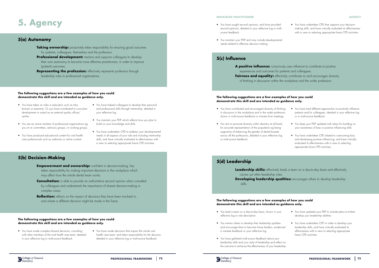# **5. Agency**

## **5(a) Autonomy**

# **5(b) Decision-Making**

- **Taking ownership:** proactively takes responsibility for ensuring good outcomes for patients, colleagues, themselves and the profession.
- **Professional development:** mentors and supports colleagues to develop their own autonomy to become more effective practitioners, in order to improve (patient) outcomes.
- **Representing the profession:** effectively represents profession through leadership roles in professional organisations.

- **Empowerment and ownership:** confident in decision-making, has taken responsibility for making important decisions in the workplace which may affect how the whole dental team works.
- **Consultation:** is able to provide an authoritative second opinion when consulted by colleagues and understands the importance of shared decision-making in complex cases.
- **Reflection:** reflects on the impact of decisions they have been involved in, and where a different decision might be made in the future.

### **The following suggestions are a few examples of how you could demonstrate this skill and are intended as guidance only.**

### **The following suggestions are a few examples of how you could demonstrate this skill and are intended as guidance only.**

A positive influence: consciously uses influence to contribute to positive experiences and outcomes for patients and colleagues. **Fairness and equality:** effectively contributes to and encourages diversity of thinking in discussion within the workplace and the wider profession.

**Leadership skills:** effectively leads a team on a day-to-day basis and effectively carries out other leadership roles. **Developing leadership qualities:** encourages others to develop leadership skills.

- You have taken on roles in education such as tutor, lecturer or examiner. Or you have contributed to curriculum development or acted as an external quality officer/ verifier.
- You are an active member of professional organisations eg you sit on committees, advisory groups, or working groups.
- You have produced educational content for oral health care professionals such as webinars or online content.
- You have helped colleagues to develop their personal and professional skills through mentorship, detailed in your reflective log.
- You maintain your PDP which reflects how you plan to build on your knowledge and skills.
- You have undertaken CPD to address your developmental needs in all aspects of your role and including mentorship skills, and have critically evaluated its effectiveness with a view to selecting appropriate future CPD activities.

- You have made complex/shared decisions, consulting with other members of the oral health care team, detailed in your reflective log or multi-source feedback.
- You have made decisions that impact the whole oral health care team, and taken responsibility for the decision, detailed in your reflective log or multi-source feedback.

### **AGENCY**

## **5(c) Influence**

# **5(d) Leadership**

### **The following suggestions are a few examples of how you could demonstrate this skill and are intended as guidance only.**

### **The following suggestions are a few examples of how you could demonstrate this skill and are intended as guidance only.**

- You have contributed and encouraged diversity of thinking in discussion in the workplace and in the wider profession, shown in multi-source feedback or minutes from meetings.
- You aim to promote diversity within dentistry at all levels for accurate representation of the population eg being supportive of balancing the gender of dental boards across all the professions, detailed in your reflective log or multi-source feedback.
- 
- - You have tried different approaches to positively influence patients and/or colleagues, detailed in your reflective log or in multi-source feedback.
- You keep your PDP updated with ideas for building on your awareness of bias or positive influencing skills.
- You have undertaken CPD related to overcoming bias and developing positive influencing, and have critically evaluated its effectiveness with a view to selecting appropriate future CPD activities.

- You lead a team on a day-to-day basis, shown in your reflective log or role description.
- You mentor others to develop their leadership qualities and encourage them to become future leaders, evidenced in mentee feedback or your reflective log.
- You have gathered multi-source feedback about your leadership skills and your style of leadership and reflect on the outcome to enhance the effectiveness of your leadership.

![](_page_36_Picture_35.jpeg)

- You have updated your PDP to include plans to further develop your leadership abilities.
- You have undertaken CPD in order to develop your leadership skills, and have critically evaluated its effectiveness with a view to selecting appropriate future CPD activities.
- You have sought second opinions, and have provided second opinions, detailed in your reflective log or multisource feedback.
- You maintain your PDP and may include developmental needs related to effective decision making.

• You have undertaken CPD that supports your decisionmaking skills, and have critically evaluated its effectiveness with a view to selecting appropriate future CPD activities.

### **ENHANCED PRACTITIONER**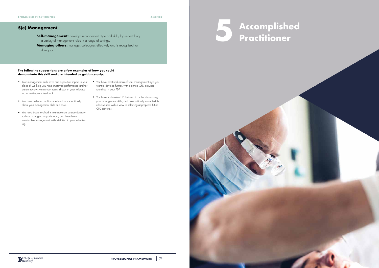**AGENCY**

## **5(e) Management**

**Self-management:** develops management style and skills, by undertaking a variety of management roles in a range of settings.

**Managing others:** manages colleagues effectively and is recognised for doing so.

- Your management skills have had a positive impact in your place of work eg you have improved performance and/or patient reviews within your team, shown in your reflective log or multi-source feedback.
- You have identified areas of your management style you want to develop further, with planned CPD activities identified in your PDP.
- You have collected multi-source feedback specifically about your management skills and style.
- You have been involved in management outside dentistry such as managing a sports team, and have learnt transferable management skills, detailed in your reflective log.
- You have undertaken CPD related to further developing your management skills, and have critically evaluated its effectiveness with a view to selecting appropriate future CPD activities.

![](_page_37_Picture_12.jpeg)

![](_page_37_Picture_13.jpeg)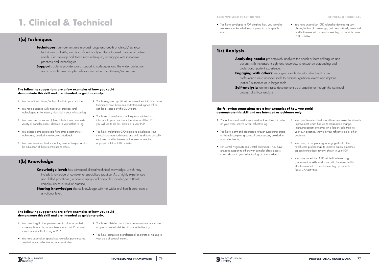# **1. Clinical & Technical**

## **1(a) Techniques**

### **The following suggestions are a few examples of how you could demonstrate this skill and are intended as guidance only.**

### **The following suggestions are a few examples of how you could demonstrate this skill and are intended as guidance only.**

- You use refined clinical/technical skills in your practice.
- You have engaged with innovative practices and technologies in the industry, detailed in your reflective log.
- You have used advanced (clinical) techniques on a wide variety of complex cases, detailed in your reflective log.
- You accept complex referrals from other practitioners/ technicians, detailed in multi-source feedback.
- You have been involved in creating new techniques and in the education of those techniques to others.
- You have gained qualifications where the clinical/technical techniques have been demonstrated and signed off or can be assessed by the CGD team.
- You have planned which techniques you intend to introduce to your practice in the future and the CPD you will use to do this, detailed in your PDP.
- You have undertaken CPD related to developing your clinical/technical techniques and skills, and have critically evaluated its effectiveness with a view to selecting appropriate future CPD activities.

- **Knowledge level:** has advanced clinical/technical knowledge, which may include knowledge of complex or specialised practice. As a highly experienced and skilled practitioner, is able to apply and adapt this knowledge to (treat) complex cases in field of practice.
- **Sharing knowledge:** shares knowledge with the wider oral health care team at a national level.

- You have taught other professionals in a formal context for example teaching at a university or on a CPD course, shown in your reflective log or PDP.
- You have undertaken specialised/complex patient cases, detailed in your reflective log or case studies.
- You have published audits/service evaluations in your area of special interest, detailed in your reflective log.
- You have completed a professional doctorate or training in your area of special interest.

# **1(b) Knowledge**

Analysing needs: pre-emptively analyses the needs of both colleagues and patients with increased insight and accuracy, to ensure an outstanding and professional patient experience. **Engaging with others:** engages confidently with other health care professionals on a national scale to analyse significant events and improve (patient) outcomes on a larger scale. **Self-analysis:** demonstrates development as a practitioner through the continual process of critical analysis.

- **Techniques:** can demonstrate a broad range and depth of clinical/technical techniques and skills, and is confident applying these to meet a range of patient needs. Can develop and teach new techniques, or engage with innovative practices and technologies.
- **Support:** able to provide sound support to colleagues and the wider profession, and can undertake complex referrals from other practitioners/technicians.

## **1(c) Analysis**

## **The following suggestions are a few examples of how you could demonstrate this skill and are intended as guidance only.**

- You actively seek multi-source feedback and use it to reflect on your work, shown in your reflective log.
- You have learnt and progressed through supporting others or through completing cases of direct access, detailed in your reflective log.
- For Dental Hygienists and Dental Technicians: You have provided support to others with complex direct access cases, shown in your reflective log or other evidence.

![](_page_38_Picture_31.jpeg)

- You have been involved in audit/service evaluation/quality improvement which has led to measurable change, improving patient outcomes on a larger scale than just your own practice, shown in your reflective log or other evidence.
- You have, or are planning to, engaged with other health care professionals to improve patient outcomes eg conference/peer review, shown in your PDP.
- You have undertaken CPD related to developing your analytical skills, and have critically evaluated its effectiveness with a view to selecting appropriate future CPD activities.

### **ACCOMPLISHED PRACTITIONER CLINICAL & TECHNICAL**

• You have developed a PDP detailing how you intend to maintain your knowledge or improve in more specific areas.

• You have undertaken CPD related to developing your clinical/technical knowledge, and have critically evaluated its effectiveness with a view to selecting appropriate future CPD activities.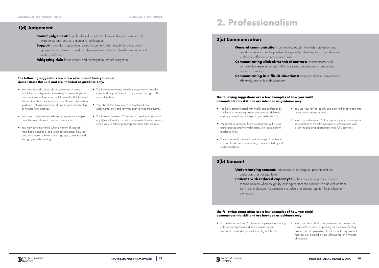### **The following suggestions are a few examples of how you could demonstrate this skill and are intended as guidance only.**

• You have played a lead role in committees or groups which help to mitigate risk in dentistry, for example you sit on committees such as local dental networks, British Dental Association, dental society boards and have contributed to guidance, risk assessment etc, shown in your reflective log or minutes from meetings.

complex cases shown in detailed case studies.

• You may have intervened when a variety of situations have been misjudged, and informed colleagues how they can avoid these problems occurring again, demonstrated

- **Sound judgement:** has developed excellent judgement through considerable experience and acts as a mentor for colleagues.
- **Support:** provides appropriate, sound judgement when sought by professional groups or committees, as well as other members of the oral health care team and wider profession.
- **Mitigating risk:** leads inquiry and investigation into risk mitigation.

through your reflective log.

**General communication:** communicates with the wider profession and key stakeholders to make positive change within dentistry, and supports others to develop effective communication skills.

- You have demonstrated excellent judgement in complex cases and support others to do so, shown through multisource feedback.
- Your PDP details how you have developed your judgemental skills and how you plan to hone them further.
- You have applied evidence-based judgement in multiple • You have undertaken CPD related to developing your skills of judgement, and have critically evaluated its effectiveness with a view to selecting appropriate future CPD activities

## **1(d) Judgement**

## **Understanding consent:** advocates for colleagues, patients and the profession at a national level.

# **2. Professionalism**

Patients with reduced capacity: has the capacity to provide a sound second opinion when sought by colleagues from the practice/lab as well as from the wider profession. Appreciates the value of a second opinion from others on own cases.

## **2(a) Communication**

**Communicating clinical/technical matters:** communicates with considerable experience and skill to a range of audiences in clinical and

non-clinical settings.

effectively and with professionalism.

### **The following suggestions are a few examples of how you could demonstrate this skill and are intended as guidance only.**

- You have communicated with health care professionals in relation to improving patient outcomes eg delivered a lecture or seminar, indicated in your reflective log.
- You reflect on areas for future development within your team, practice and the wider profession, using patient feedback forms.
- You can expertly communicate to a range of audiences in clinical and non-clinical settings, demonstrated by multisource feedback.
- You use your PDP to identify and plan further developments in your communication style.
- You have undertaken CPD that supports your communication skills, and have critically evaluated its effectiveness with a view to selecting appropriate future CPD activities.

## **2(b) Consent**

• For Dental Technicians: You have a complete understanding of the consent process and how it applies to your own work, detailed in your reflective log or lab notes.

![](_page_39_Picture_31.jpeg)

**Communicating in difficult situations:** manages difficult conversations

• You have advocated for the profession and patients on a national level such as speaking out on issues affecting patients and the profession at professional body national meetings etc, detailed in your reflective log or in minutes of meetings.

**PROFESSIONAL FRAMEWORK** | 78 **PROFESSIONAL FRAMEWORK** | 79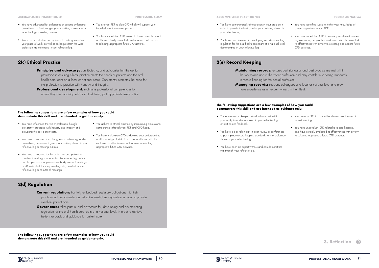## **2(c) Ethical Practice**

- **Principles and advocacy:** contributes to, and advocates for, the dental profession in ensuring ethical practice meets the needs of patients and the oral health care team on a local or national scale. Consistently promotes the need for the profession to practice with honesty and integrity.
- **Professional development:** maintains professional competencies to ensure they are practising ethically at all times, putting patients' interests first.

**PROFESSIONALISM**

### **The following suggestions are a few examples of how you could demonstrate this skill and are intended as guidance only.**

- **Current regulation:** has fully embedded regulatory obligations into their practice and demonstrates an instinctive level of self-regulation in order to provide excellent patient care.
- **Governance:** takes part in, and advocates for, developing and disseminating regulation for the oral health care team at a national level, in order to achieve better standards and guidance for patient care.
- You have influenced the wider profession through persistently practising with honesty and integrity and delivering the best patient care.
- You have advocated for colleagues or patients eg leading committees, professional groups or charities, shown in your reflective log or meeting minutes.
- You have advocated for the profession and patients on a national level eg spoken out on issues affecting patients and the profession at professional body national meetings or UK-wide dental society meetings etc, detailed in your reflective log or minutes of meetings.
- You adhere to ethical practice by maintaining professional competencies through your PDP and CPD hours.

• You have undertaken CPD to develop your understanding and knowledge of ethical practice, and have critically evaluated its effectiveness with a view to selecting appropriate future CPD activities.

# **2(d) Regulation**

- You have advocated for colleagues or patients by leading committees, professional groups or charities, shown in your reflective log or meeting minutes.
- You have provided second opinions to colleagues within your place of work, as well as colleagues from the wider profession, as referenced in your reflective log.

• You use your PDP to plan CPD which will support your

knowledge of the consent process.

• You have undertaken CPD related to issues around consent, and have critically evaluated its effectiveness with a view

to selecting appropriate future CPD activities.

**The following suggestions are a few examples of how you could demonstrate this skill and are intended as guidance only.**

![](_page_40_Picture_26.jpeg)

### **ACCOMPLISHED PRACTITIONER**

## **2(e) Record Keeping**

in record keeping for the dental profession. have experience as an expert witness in their field.

### **ACCOMPLISHED PRACTITIONER PROFESSIONALISM**

- You ensure record keeping standards are met within your workplace, demonstrated in your reflective log or multi-source feedback.
- You have led or taken part in peer review or conferences to put in place record keeping standards for the profession, shown in your reflective log.
- You have been an expert witness and can demonstrate that through your reflective log.
- You have demonstrated self-regulation in your practice in order to provide the best care for your patients, shown in your reflective log.
- You have been involved in developing and disseminating regulation for the oral health care team at a national level, demonstrated in your reflective log.
- You have identified ways to further your knowledge of current regulations in your PDP.
- You have undertaken CPD to ensure you adhere to current regulations in your practice, and have critically evaluated its effectiveness with a view to selecting appropriate future CPD activities.
- **Maintaining records:** ensures best standards and best practice are met within the workplace and in the wider profession and may contribute to setting standards
- **Managing records:** supports colleagues at a local or national level and may
	- You use your PDP to plan further development related to record keeping.
	- You have undertaken CPD related to record keeping. and have critically evaluated its effectiveness with a view to selecting appropriate future CPD activities.

![](_page_40_Picture_35.jpeg)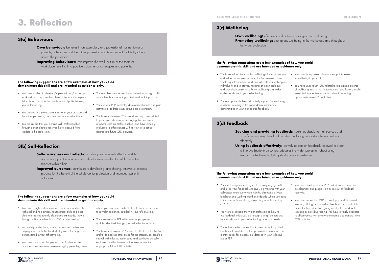# **3. Reflection**

## **3(a) Behaviours**

# **3(b) Self-Reflection**

- **Own behaviour:** behaves in an exemplary and professional manner towards patients, colleagues and the wider profession and is respected for this by others across the profession.
- **Improving behaviours:** can improve the work culture of the team or workplace resulting in a positive outcome for colleagues and patients.

- **Self-awareness and reflection:** fully appreciates self-reflection abilities, and can support the education and development needed to build a reflective mindset within others.
- **Improved outcomes:** contributes to developing, and sharing, innovative reflective practice for the benefit of the whole dental profession and improved (patient) outcomes.

### **The following suggestions are a few examples of how you could demonstrate this skill and are intended as guidance only.**

### **The following suggestions are a few examples of how you could demonstrate this skill and are intended as guidance only.**

- You have sought multi-source feedback on your clinical/ technical and non-clinical/non-technical skills and been able to utilise it to identify developmental needs, shown through multi-source feedback, PDP or reflective log.
- In a variety of situations, you have mentored colleagues, helping you to self-reflect and identify areas for progression, demonstrated in your reflective log.
- You have developed the progression of self-reflective practice within the dental profession eg by presenting cases
- You have worked to develop/implement and/or change work culture to improve the culture of the team/workplace. Tell us how it impacted on the team (and patients) using your reflective log.
- You are able to understand your behaviour through multisource feedback including patient feedback if possible.
- You use your PDP to identify development needs and plan activities to address issues around professionalism.
- You behave in a professional manner in your practice and the wider profession, demonstrated in your reflective log.
- You are aware that you behave with professionalism through personal references you have received from leaders in the profession.
- You have undertaken CPD to address any issues related to your own behaviour or managing the behaviour of others, such as professionalism, and have critically evaluated its effectiveness with a view to selecting appropriate future CPD activities.

**Seeking and providing feedback:** seeks feedback from all sources and is proficient in giving feedback to others including supporting them to utilise it

**Using feedback effectively:** actively reflects on feedback received in order to improve (patient) outcomes. Educates the wider profession about using feedback effectively, including sharing own experiences.

where you have used self-reflection to improve practice, to a wider audience, detailed in your reflective log.

- You maintain your PDP with areas for progression or update, identified through your self-reflective activities.
- You have undertaken CPD related to effective self-reflection and/or to address other areas for progression as identified through self-reflective techniques, and you have critically evaluated its effectiveness with a view to selecting appropriate future CPD activities.

**Own wellbeing:** effectively and actively manages own wellbeing. **Promoting wellbeing:** champions wellbeing in the workplace and throughout the wider profession.

# **3(d) Feedback**

effectively.

### **The following suggestions are a few examples of how you could demonstrate this skill and are intended as guidance only.**

### **The following suggestions are a few examples of how you could demonstrate this skill and are intended as guidance only.**

- You have helped improve the wellbeing of your colleagues and helped advocate wellbeing for the profession as a whole eg set aside time to sit and talk with your colleagues individually and in groups, keeping an open dialogue, and provided courses or talks on wellbeing to a wider audience, shown in your reflective log.
- You are approachable and actively support the wellbeing of others, including in the wider dental community, demonstrated in your multi-source feedback.
- You have incorporated development points related to wellbeing in your PDP.
- You have undertaken CPD related to maintaining a sense of wellbeing, such as resilience training, and have critically evaluated its effectiveness with a view to selecting appropriate future CPD activities.

- You mentor/support colleagues to actively engage with and utilise your feedback effectively eg meeting with your colleagues once every three months, discussing all your feedback and working together to decide where you need to target your future efforts, shown in your reflective log or PDP.
- You work to educate the wider profession on how to use feedback effectively eg through giving seminars and lectures, shown in your reflective log or lecture details.
- You actively reflect on feedback given, including patient feedback if possible, whether positive or constructive, and identify areas for progression, detailed in your reflective log or PDP.

![](_page_41_Picture_38.jpeg)

- You have developed your PDP and identified areas for development and progression as a result of feedback received.
- You have undertaken CPD to develop your skills around seeking, utilising and providing feedback, such as training in mentorship, education, giving constructive feedback, teaching or providing training. You have critically evaluated its effectiveness with a view to selecting appropriate future CPD activities.

# **3(c) Wellbeing**

**ACCOMPLISHED PRACTITIONER**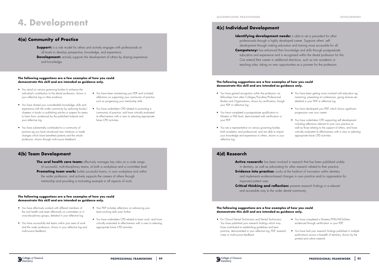# **4. Development**

# **4(a) Community of Practice**

# **4(b) Team Development**

**Support:** is a role model for others and actively engages with professionals at all levels to develop perspective, knowledge, and experience. **Development:** actively supports the development of others by sharing experience and knowledge.

**The oral health care team:** effectively manages key roles on a wide range of successful, multi-disciplinary teams, at both a workplace and a committee level. **Promoting team work:** builds successful teams, in own workplace and within the wider profession, and actively supports the careers of others through mentorship and providing a motivating example in all aspects of work.

### **The following suggestions are a few examples of how you could demonstrate this skill and are intended as guidance only.**

### **The following suggestions are a few examples of how you could demonstrate this skill and are intended as guidance only.**

- You stand on various governing bodies to enhance the individual's contribution to the dental profession, shown in your reflective log or other evidence.
- You have shared your considerable knowledge, skills and experience with the wider community by authoring books/ chapters in books or publishing articles or papers for peers to learn from, evidenced by the published material and your reflective log.
- You have substantially contributed to a community of practice eg you have introduced new initiatives or made changes which have benefited patients and the whole profession, shown through multi-source feedback.
- You have been maintaining your PDP and included reflections on supporting your community of practice such as progressing your mentorship skills.
- You have undertaken CPD related to promoting a community of practice, and have critically evaluated its effectiveness with a view to selecting appropriate future CPD activities.

**Identifying development needs:** is able to set a precedent for other professionals through a highly developed career. Supports others' selfdevelopment through making education and training more accessible for all. **Competency:** has enhanced their knowledge and skills through postgraduate education and experience and is recognised within the dental profession for this. Can extend their career in additional directions, such as into academic or teaching roles, taking on new opportunities as a pioneer for the profession.

**Active research:** has been involved in research that has been published widely in dentistry, as well as advocating for other research related to their practice. **Evidence into practice:** works at the forefront of innovation within dentistry and implements evidence-based changes in own practice and/or organisation for improved patient care.

- You have effectively worked with different members of the oral health care team effectively on committees or in cross-disciplinary groups, detailed in your reflective log.
- You have successfully led teams within your area of work and the wider profession, shown in your reflective log and multi-source feedback.
- Your PDP includes reflections on advancing your team-working skills even further.
- You have undertaken CPD related to team work, and have critically evaluated its effectiveness with a view to selecting appropriate future CPD activities.

## **4(c) Individual Development**

## **4(d) Research**

**Critical thinking and reflection:** presents research findings in a relevant and accessible way to the wider dental community.

### **The following suggestions are a few examples of how you could demonstrate this skill and are intended as guidance only.**

### **The following suggestions are a few examples of how you could demonstrate this skill and are intended as guidance only.**

- You have gained recognition within the profession via fellowships from other Colleges/Faculties/Professional Bodies and Organisations, shown by certification, though your PDP or reflective log.
- You have completed a postgraduate qualification to Masters or PhD level, demonstrated with certification or your PDP.
- You are a representative on various governing bodies both academic and professional, and are able to impart your knowledge and experience to others, shown in your reflective log.
- You have been getting more involved with education eg mentoring, presenting at conferences, giving lectures etc, detailed in your PDP or reflective log.
- You have developed your PDP, which shows significant progression over your career.
- You have undertaken CPD supporting self development including reflections relevant to your own practice as well as those relating to the support of others, and have critically evaluated its effectiveness with a view to selecting appropriate future CPD activities.

• For Clinical Dental Technicians and Dental Technicians: You have published your research findings which may have contributed to establishing guidelines and best practice, demonstrated in your reflective log, PDP, research notes or multi-source feedback.

![](_page_42_Picture_32.jpeg)

- You have completed a Masters/PHD/MClinDent, evidenced through certification or your PDP.
- You have had your research findings published in multiple publications across a breadth of dentistry, shown by the printed and online material.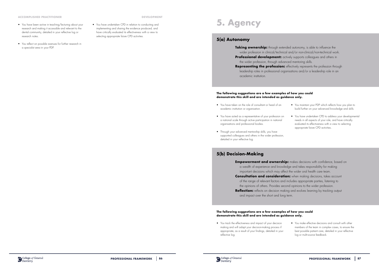### **ACCOMPLISHED PRACTITIONER DEVELOPMENT**

- You have been active in teaching/lecturing about your research and making it accessible and relevant to the dental community, detailed in your reflective log or research notes.
- You reflect on possible avenues for further research in a specialist area in your PDP.

• You have undertaken CPD in relation to conducting and implementing and sharing the evidence produced, and have critically evaluated its effectiveness with a view to selecting appropriate future CPD activities.

# **5. Agency**

## **5(a) Autonomy**

## **5(b) Decision-Making**

**Taking ownership:** through extended autonomy, is able to influence the wider profession in clinical/technical and/or non-clinical/non-technical work. **Professional development:** actively supports colleagues and others in the wider profession, through advanced mentoring skills. **Representing the profession:** effectively represents the profession through leadership roles in professional organisations and/or a leadership role in an academic institution.

important decisions which may affect the wider oral health care team. the opinions of others. Provides second opinions to the wider profession.

and impact over the short and long term.

### **The following suggestions are a few examples of how you could demonstrate this skill and are intended as guidance only.**

### **The following suggestions are a few examples of how you could demonstrate this skill and are intended as guidance only.**

- a wealth of experience and knowledge and takes responsibility for making
	-
- **Consultation and consideration:** when making decisions, takes account
	- of the range of relevant factors and includes appropriate parties, listening to
		-
- **Reflection:** reflects on decision making and evolves learning by tracking output
	- You make effective decisions and consult with other members of the team in complex cases, to ensure the best possible patient care, detailed in your reflective log or multi-source feedback.
- You have taken on the role of consultant or head of an academic institution or organisation.
- You have acted as a representative of your profession on a national scale through active participation in national organisations and professional bodies.
- Through your advanced mentorship skills, you have supported colleagues and others in the wider profession, detailed in your reflective log.
- You maintain your PDP which reflects how you plan to build further on your advanced knowledge and skills.
- You have undertaken CPD to address your developmental needs in all aspects of your role, and have critically evaluated its effectiveness with a view to selecting appropriate future CPD activities..

**Empowerment and ownership:** makes decisions with confidence, based on

• You track the effectiveness and impact of your decision making and will adapt your decision-making process if appropriate, as a result of your findings, detailed in your reflective log.

![](_page_43_Picture_18.jpeg)

- 
- 
- 
-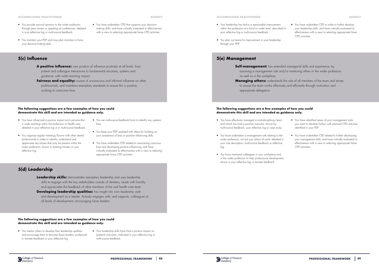**AGENCY**

## **5(c) Influence**

## **5(d) Leadership**

- **A positive influence:** uses position of influence positively at all levels, from patient and colleague interactions to fundamental structures, systems and guidance, with wide reaching impact.
- **Fairness and equality:** aware of unconscious and informal influence on other professionals, and maintains exemplary standards to ensure this is positive, working to overcome bias.

**Leadership skills:** demonstrates exemplary leadership and uses leadership skills to engage with the key stakeholders outside of dentistry. Leads with humility and appreciates the feedback of other members of the oral health care team. **Developing leadership qualities:** has insight into own leadership style and development as a leader. Actively engages with, and supports, colleagues at all levels of development, encouraging future leaders.

### **The following suggestions are a few examples of how you could demonstrate this skill and are intended as guidance only.**

### **The following suggestions are a few examples of how you could demonstrate this skill and are intended as guidance only.**

- You have influenced a positive impact and outcome that is wide reaching within the profession or health care, detailed in your reflective log or in multi-source feedback.
- You organise regular meetings/forums with other dental professionals in order to identify, understand and appreciate any biases that may be present within the wider profession, shown in meeting minutes or your reflective log.
- You use multi-source feedback forms to identify any systemic bias.
- You keep your PDP updated with ideas for building on your awareness of bias or positive influencing skills.
- You have undertaken CPD related to overcoming conscious bias and developing positive influencing, and have critically evaluated its effectiveness with a view to selecting appropriate future CPD activities.

- You mentor others to develop their leadership qualities and encourage them to become future leaders, evidenced in mentee feedback or your reflective log.
- Your leadership skills have had a positive impact on (patient) outcomes, indicated in your reflective log or multi-source feedback.
- You provide second opinions to the wider profession through peer review or speaking at conferences, detailed in your reflective log or multi-source feedback.
- You maintain your PDP and may plan activities to hone your decision-making skills.

### • You have undertaken CPD that supports your decisionmaking skills, and have critically evaluated its effectiveness with a view to selecting appropriate future CPD activities.

### **ACCOMPLISHED PRACTITIONER AGENCY**

## **5(e) Management**

**Self-management:** has extended managerial skills and experience, by assuming a management role and/or mentoring others in the wider profession, as well as in the workplace. **Managing others:** understands the role of all members of the team and strives to ensure the team works effectively and efficiently through motivation and appropriate delegation.

## **The following suggestions are a few examples of how you could demonstrate this skill and are intended as guidance only.**

- You have effectively managed a multi-disciplinary team and which has had a positive outcome, shown by multi-source feedback, your reflective log or case study.
- You have undertaken a management role relating to the wider profession, not just your place of work, detailed in your role description, multi-source feedback or reflective log.
- You have mentored colleagues in your workplace and in the wider profession to help professional development, shown in your reflective log or mentee feedback.

![](_page_44_Picture_29.jpeg)

- You have identified areas of your management style you want to develop further, with planned CPD activities identified in your PDP.
- You have undertaken CPD related to further developing your management skills, and have critically evaluated its effectiveness with a view to selecting appropriate future CPD activities.
- Your leadership has led to a measurable improvement within the profession at a local or wider level, described in your reflective log or multi-source feedback.
- You plan out areas for improvement in your leadership through your PDP.

• You have undertaken CPD in order to further develop your leadership skills, and have critically evaluated its effectiveness with a view to selecting appropriate future CPD activities.

### **ACCOMPLISHED PRACTITIONER**